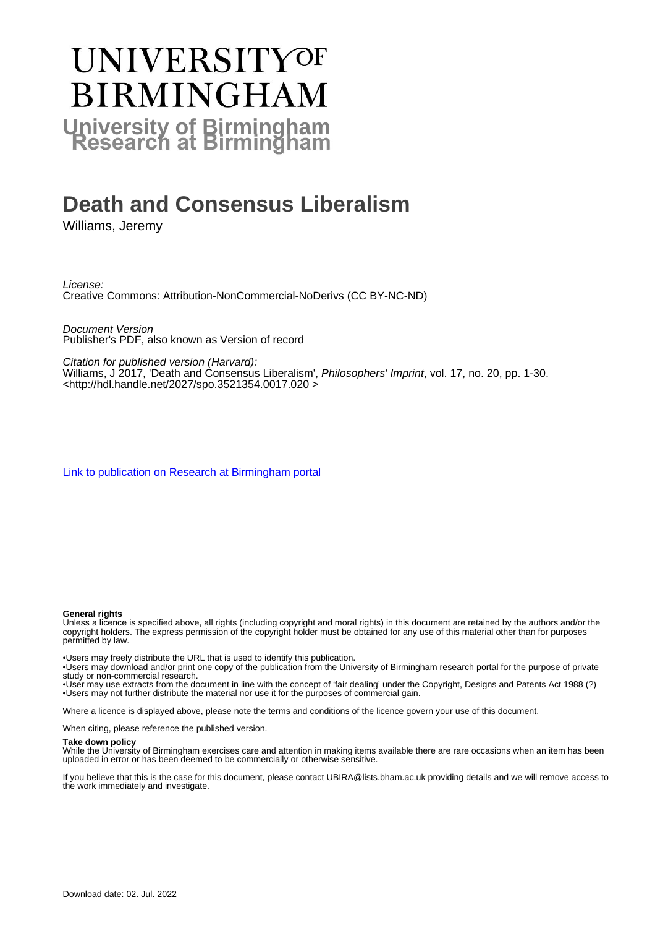## **UNIVERSITYOF BIRMINGHAM University of Birmingham**

## **Death and Consensus Liberalism**

Williams, Jeremy

License: Creative Commons: Attribution-NonCommercial-NoDerivs (CC BY-NC-ND)

Document Version Publisher's PDF, also known as Version of record

Citation for published version (Harvard):

Williams, J 2017, 'Death and Consensus Liberalism', Philosophers' Imprint, vol. 17, no. 20, pp. 1-30. <[http://hdl.handle.net/2027/spo.3521354.0017.020 >](http://hdl.handle.net/2027/spo.3521354.0017.020 )

[Link to publication on Research at Birmingham portal](https://birmingham.elsevierpure.com/en/publications/3653ec83-9ae5-4c5a-af66-2db2f46e9bdb)

### **General rights**

Unless a licence is specified above, all rights (including copyright and moral rights) in this document are retained by the authors and/or the copyright holders. The express permission of the copyright holder must be obtained for any use of this material other than for purposes permitted by law.

• Users may freely distribute the URL that is used to identify this publication.

• Users may download and/or print one copy of the publication from the University of Birmingham research portal for the purpose of private study or non-commercial research.

• User may use extracts from the document in line with the concept of 'fair dealing' under the Copyright, Designs and Patents Act 1988 (?) • Users may not further distribute the material nor use it for the purposes of commercial gain.

Where a licence is displayed above, please note the terms and conditions of the licence govern your use of this document.

When citing, please reference the published version.

### **Take down policy**

While the University of Birmingham exercises care and attention in making items available there are rare occasions when an item has been uploaded in error or has been deemed to be commercially or otherwise sensitive.

If you believe that this is the case for this document, please contact UBIRA@lists.bham.ac.uk providing details and we will remove access to the work immediately and investigate.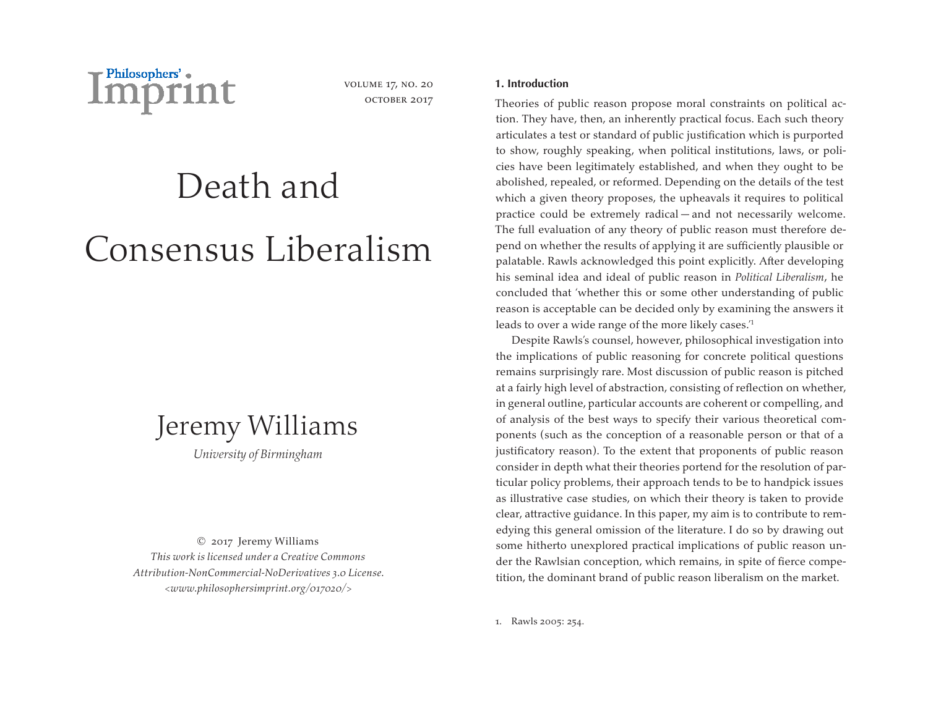

volume 17, no. 20 OCTOBER 2017

# Death and Consensus Liberalism



*University of Birmingham*

© 2017 Jeremy Williams *This work is licensed under a Creative Commons Attribution-NonCommercial-NoDerivatives 3.0 License. <www.philosophersimprint.org/017020/>*

### **1. Introduction**

Theories of public reason propose moral constraints on political action. They have, then, an inherently practical focus. Each such theory articulates a test or standard of public justification which is purported to show, roughly speaking, when political institutions, laws, or policies have been legitimately established, and when they ought to be abolished, repealed, or reformed. Depending on the details of the test which a given theory proposes, the upheavals it requires to political practice could be extremely radical — and not necessarily welcome. The full evaluation of any theory of public reason must therefore depend on whether the results of applying it are sufficiently plausible or palatable. Rawls acknowledged this point explicitly. After developing his seminal idea and ideal of public reason in *Political Liberalism*, he concluded that 'whether this or some other understanding of public reason is acceptable can be decided only by examining the answers it leads to over a wide range of the more likely cases.'1

Despite Rawls's counsel, however, philosophical investigation into the implications of public reasoning for concrete political questions remains surprisingly rare. Most discussion of public reason is pitched at a fairly high level of abstraction, consisting of reflection on whether, in general outline, particular accounts are coherent or compelling, and of analysis of the best ways to specify their various theoretical components (such as the conception of a reasonable person or that of a justificatory reason). To the extent that proponents of public reason consider in depth what their theories portend for the resolution of particular policy problems, their approach tends to be to handpick issues as illustrative case studies, on which their theory is taken to provide clear, attractive guidance. In this paper, my aim is to contribute to remedying this general omission of the literature. I do so by drawing out some hitherto unexplored practical implications of public reason under the Rawlsian conception, which remains, in spite of fierce competition, the dominant brand of public reason liberalism on the market.

1. Rawls 2005: 254.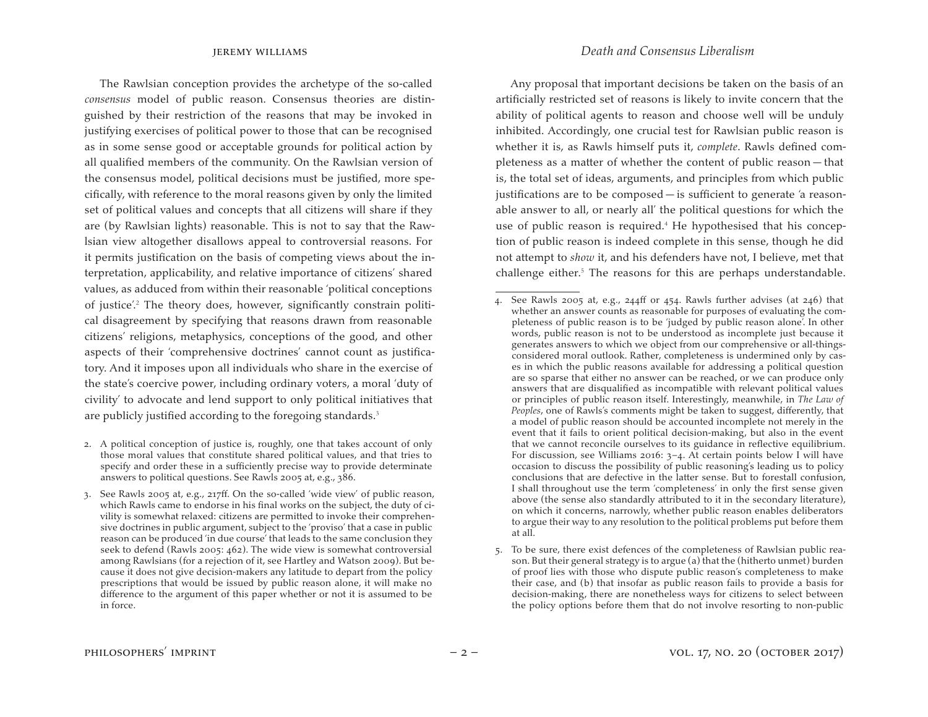The Rawlsian conception provides the archetype of the so-called *consensus* model of public reason. Consensus theories are distinguished by their restriction of the reasons that may be invoked in justifying exercises of political power to those that can be recognised as in some sense good or acceptable grounds for political action by all qualified members of the community. On the Rawlsian version of the consensus model, political decisions must be justified, more specifically, with reference to the moral reasons given by only the limited set of political values and concepts that all citizens will share if they are (by Rawlsian lights) reasonable. This is not to say that the Rawlsian view altogether disallows appeal to controversial reasons. For it permits justification on the basis of competing views about the interpretation, applicability, and relative importance of citizens' shared values, as adduced from within their reasonable 'political conceptions of justice'.<sup>2</sup> The theory does, however, significantly constrain political disagreement by specifying that reasons drawn from reasonable citizens' religions, metaphysics, conceptions of the good, and other aspects of their 'comprehensive doctrines' cannot count as justificatory. And it imposes upon all individuals who share in the exercise of the state's coercive power, including ordinary voters, a moral 'duty of civility' to advocate and lend support to only political initiatives that are publicly justified according to the foregoing standards.<sup>3</sup>

Any proposal that important decisions be taken on the basis of an artificially restricted set of reasons is likely to invite concern that the ability of political agents to reason and choose well will be unduly inhibited. Accordingly, one crucial test for Rawlsian public reason is whether it is, as Rawls himself puts it, *complete*. Rawls defined completeness as a matter of whether the content of public reason — that is, the total set of ideas, arguments, and principles from which public justifications are to be composed — is sufficient to generate 'a reasonable answer to all, or nearly all' the political questions for which the use of public reason is required.<sup>4</sup> He hypothesised that his conception of public reason is indeed complete in this sense, though he did not attempt to *show* it, and his defenders have not, I believe, met that challenge either.<sup>5</sup> The reasons for this are perhaps understandable.

<sup>2.</sup> A political conception of justice is, roughly, one that takes account of only those moral values that constitute shared political values, and that tries to specify and order these in a sufficiently precise way to provide determinate answers to political questions. See Rawls 2005 at, e.g., 386.

<sup>3.</sup> See Rawls 2005 at, e.g., 217ff. On the so-called 'wide view' of public reason, which Rawls came to endorse in his final works on the subject, the duty of civility is somewhat relaxed: citizens are permitted to invoke their comprehensive doctrines in public argument, subject to the 'proviso' that a case in public reason can be produced 'in due course' that leads to the same conclusion they seek to defend (Rawls 2005: 462). The wide view is somewhat controversial among Rawlsians (for a rejection of it, see Hartley and Watson 2009). But because it does not give decision-makers any latitude to depart from the policy prescriptions that would be issued by public reason alone, it will make no difference to the argument of this paper whether or not it is assumed to be in force.

<sup>4.</sup> See Rawls 2005 at, e.g., 244ff or 454. Rawls further advises (at 246) that whether an answer counts as reasonable for purposes of evaluating the completeness of public reason is to be 'judged by public reason alone'. In other words, public reason is not to be understood as incomplete just because it generates answers to which we object from our comprehensive or all-thingsconsidered moral outlook. Rather, completeness is undermined only by cases in which the public reasons available for addressing a political question are so sparse that either no answer can be reached, or we can produce only answers that are disqualified as incompatible with relevant political values or principles of public reason itself. Interestingly, meanwhile, in *The Law of Peoples*, one of Rawls's comments might be taken to suggest, differently, that a model of public reason should be accounted incomplete not merely in the event that it fails to orient political decision-making, but also in the event that we cannot reconcile ourselves to its guidance in reflective equilibrium. For discussion, see Williams 2016: 3–4. At certain points below I will have occasion to discuss the possibility of public reasoning's leading us to policy conclusions that are defective in the latter sense. But to forestall confusion, I shall throughout use the term 'completeness' in only the first sense given above (the sense also standardly attributed to it in the secondary literature), on which it concerns, narrowly, whether public reason enables deliberators to argue their way to any resolution to the political problems put before them at all.

<sup>5.</sup> To be sure, there exist defences of the completeness of Rawlsian public reason. But their general strategy is to argue (a) that the (hitherto unmet) burden of proof lies with those who dispute public reason's completeness to make their case, and (b) that insofar as public reason fails to provide a basis for decision-making, there are nonetheless ways for citizens to select between the policy options before them that do not involve resorting to non-public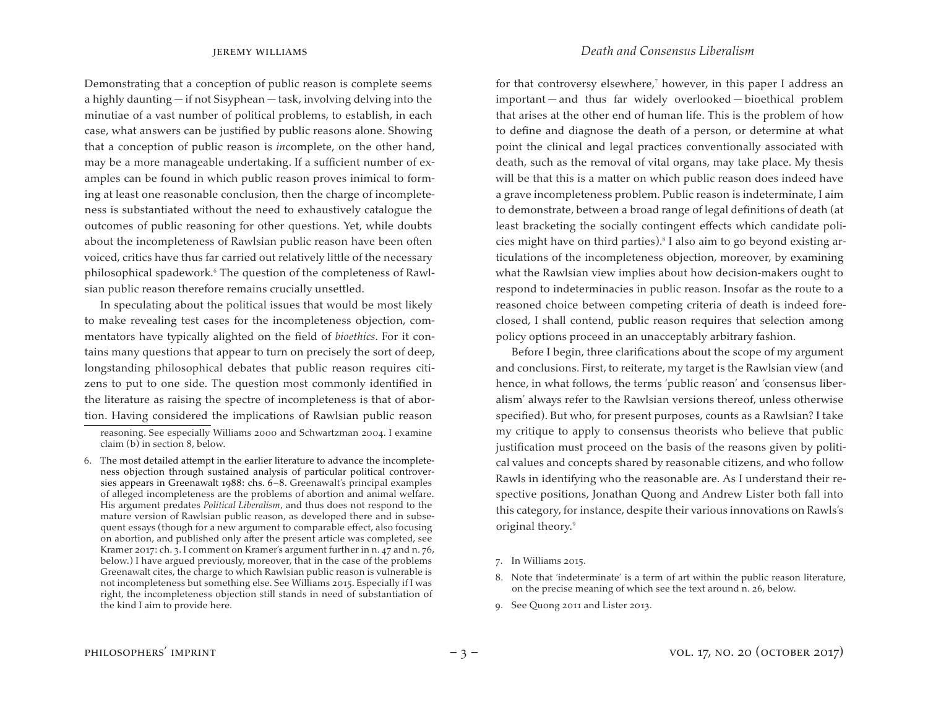Demonstrating that a conception of public reason is complete seems a highly daunting — if not Sisyphean — task, involving delving into the minutiae of a vast number of political problems, to establish, in each case, what answers can be justified by public reasons alone. Showing that a conception of public reason is *in*complete, on the other hand, may be a more manageable undertaking. If a sufficient number of examples can be found in which public reason proves inimical to forming at least one reasonable conclusion, then the charge of incompleteness is substantiated without the need to exhaustively catalogue the outcomes of public reasoning for other questions. Yet, while doubts about the incompleteness of Rawlsian public reason have been often voiced, critics have thus far carried out relatively little of the necessary philosophical spadework.<sup>6</sup> The question of the completeness of Rawlsian public reason therefore remains crucially unsettled.

In speculating about the political issues that would be most likely to make revealing test cases for the incompleteness objection, commentators have typically alighted on the field of *bioethics*. For it contains many questions that appear to turn on precisely the sort of deep, longstanding philosophical debates that public reason requires citizens to put to one side. The question most commonly identified in the literature as raising the spectre of incompleteness is that of abortion. Having considered the implications of Rawlsian public reason

for that controversy elsewhere, $7$  however, in this paper I address an important — and thus far widely overlooked — bioethical problem that arises at the other end of human life. This is the problem of how to define and diagnose the death of a person, or determine at what point the clinical and legal practices conventionally associated with death, such as the removal of vital organs, may take place. My thesis will be that this is a matter on which public reason does indeed have a grave incompleteness problem. Public reason is indeterminate, I aim to demonstrate, between a broad range of legal definitions of death (at least bracketing the socially contingent effects which candidate policies might have on third parties).<sup>8</sup> I also aim to go beyond existing articulations of the incompleteness objection, moreover, by examining what the Rawlsian view implies about how decision-makers ought to respond to indeterminacies in public reason. Insofar as the route to a reasoned choice between competing criteria of death is indeed foreclosed, I shall contend, public reason requires that selection among policy options proceed in an unacceptably arbitrary fashion.

Before I begin, three clarifications about the scope of my argument and conclusions. First, to reiterate, my target is the Rawlsian view (and hence, in what follows, the terms 'public reason' and 'consensus liberalism' always refer to the Rawlsian versions thereof, unless otherwise specified). But who, for present purposes, counts as a Rawlsian? I take my critique to apply to consensus theorists who believe that public justification must proceed on the basis of the reasons given by political values and concepts shared by reasonable citizens, and who follow Rawls in identifying who the reasonable are. As I understand their respective positions, Jonathan Quong and Andrew Lister both fall into this category, for instance, despite their various innovations on Rawls's original theory.<sup>9</sup>

9. See Quong 2011 and Lister 2013.

reasoning. See especially Williams 2000 and Schwartzman 2004. I examine claim (b) in section 8, below.

<sup>6.</sup>  The most detailed attempt in the earlier literature to advance the incompleteness objection through sustained analysis of particular political controversies appears in Greenawalt 1988: chs. 6–8. Greenawalt's principal examples of alleged incompleteness are the problems of abortion and animal welfare. His argument predates *Political Liberalism*, and thus does not respond to the mature version of Rawlsian public reason, as developed there and in subsequent essays (though for a new argument to comparable effect, also focusing on abortion, and published only after the present article was completed, see Kramer 2017: ch. 3. I comment on Kramer's argument further in n. 47 and n. 76, below.) I have argued previously, moreover, that in the case of the problems Greenawalt cites, the charge to which Rawlsian public reason is vulnerable is not incompleteness but something else. See Williams 2015. Especially if I was right, the incompleteness objection still stands in need of substantiation of the kind I aim to provide here.

<sup>7.</sup> In Williams 2015.

<sup>8.</sup> Note that 'indeterminate' is a term of art within the public reason literature, on the precise meaning of which see the text around n. 26, below.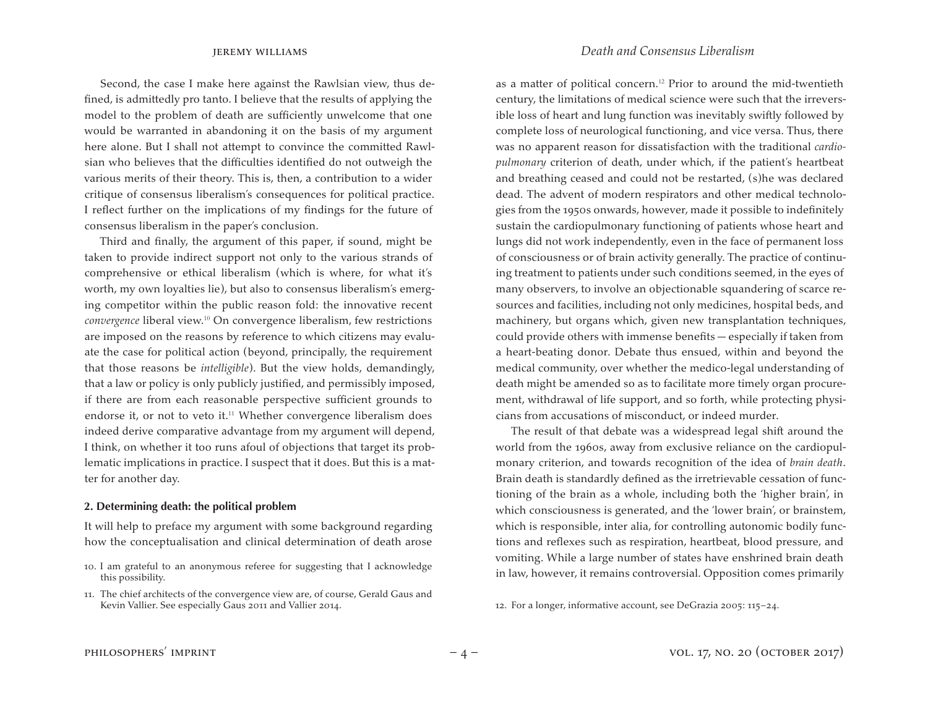Second, the case I make here against the Rawlsian view, thus defined, is admittedly pro tanto. I believe that the results of applying the model to the problem of death are sufficiently unwelcome that one would be warranted in abandoning it on the basis of my argument here alone. But I shall not attempt to convince the committed Rawlsian who believes that the difficulties identified do not outweigh the various merits of their theory. This is, then, a contribution to a wider critique of consensus liberalism's consequences for political practice. I reflect further on the implications of my findings for the future of consensus liberalism in the paper's conclusion.

Third and finally, the argument of this paper, if sound, might be taken to provide indirect support not only to the various strands of comprehensive or ethical liberalism (which is where, for what it's worth, my own loyalties lie), but also to consensus liberalism's emerging competitor within the public reason fold: the innovative recent *convergence* liberal view.<sup>10</sup> On convergence liberalism, few restrictions are imposed on the reasons by reference to which citizens may evaluate the case for political action (beyond, principally, the requirement that those reasons be *intelligible*). But the view holds, demandingly, that a law or policy is only publicly justified, and permissibly imposed, if there are from each reasonable perspective sufficient grounds to endorse it, or not to veto it.<sup>11</sup> Whether convergence liberalism does indeed derive comparative advantage from my argument will depend, I think, on whether it too runs afoul of objections that target its problematic implications in practice. I suspect that it does. But this is a matter for another day.

### **2. Determining death: the political problem**

It will help to preface my argument with some background regarding how the conceptualisation and clinical determination of death arose

- 10. I am grateful to an anonymous referee for suggesting that I acknowledge this possibility.
- 11. The chief architects of the convergence view are, of course, Gerald Gaus and Kevin Vallier. See especially Gaus 2011 and Vallier 2014.

as a matter of political concern.<sup>12</sup> Prior to around the mid-twentieth century, the limitations of medical science were such that the irreversible loss of heart and lung function was inevitably swiftly followed by complete loss of neurological functioning, and vice versa. Thus, there was no apparent reason for dissatisfaction with the traditional *cardiopulmonary* criterion of death, under which, if the patient's heartbeat and breathing ceased and could not be restarted, (s)he was declared dead. The advent of modern respirators and other medical technologies from the 1950s onwards, however, made it possible to indefinitely sustain the cardiopulmonary functioning of patients whose heart and lungs did not work independently, even in the face of permanent loss of consciousness or of brain activity generally. The practice of continuing treatment to patients under such conditions seemed, in the eyes of many observers, to involve an objectionable squandering of scarce resources and facilities, including not only medicines, hospital beds, and machinery, but organs which, given new transplantation techniques, could provide others with immense benefits — especially if taken from a heart-beating donor. Debate thus ensued, within and beyond the medical community, over whether the medico-legal understanding of death might be amended so as to facilitate more timely organ procurement, withdrawal of life support, and so forth, while protecting physicians from accusations of misconduct, or indeed murder.

The result of that debate was a widespread legal shift around the world from the 1960s, away from exclusive reliance on the cardiopulmonary criterion, and towards recognition of the idea of *brain death*. Brain death is standardly defined as the irretrievable cessation of functioning of the brain as a whole, including both the 'higher brain', in which consciousness is generated, and the 'lower brain', or brainstem, which is responsible, inter alia, for controlling autonomic bodily functions and reflexes such as respiration, heartbeat, blood pressure, and vomiting. While a large number of states have enshrined brain death in law, however, it remains controversial. Opposition comes primarily

12. For a longer, informative account, see DeGrazia 2005: 115-24.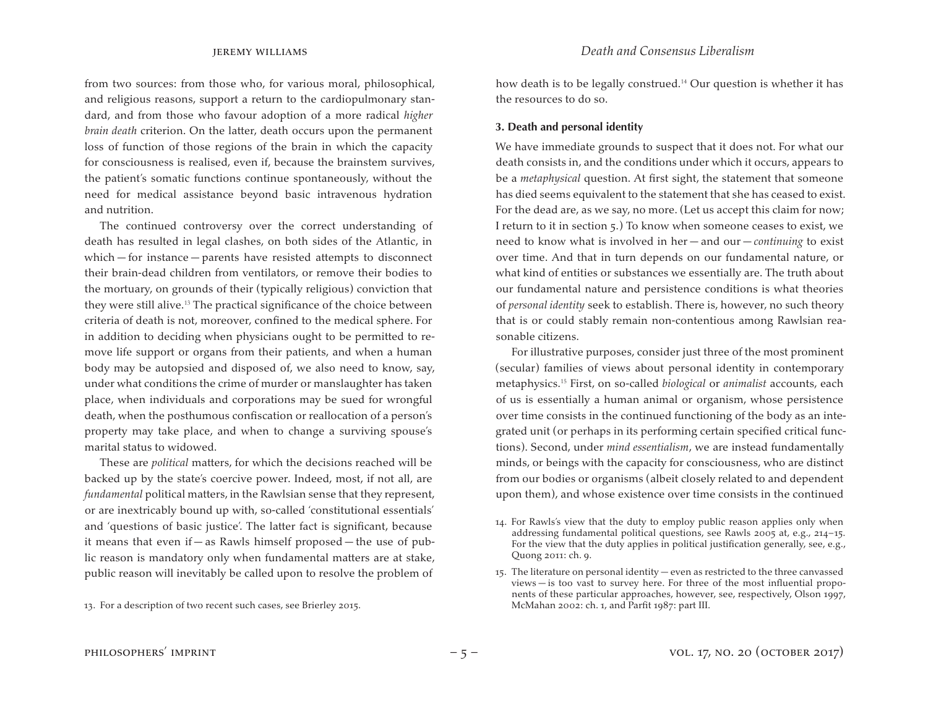from two sources: from those who, for various moral, philosophical, and religious reasons, support a return to the cardiopulmonary standard, and from those who favour adoption of a more radical *higher brain death* criterion. On the latter, death occurs upon the permanent loss of function of those regions of the brain in which the capacity for consciousness is realised, even if, because the brainstem survives, the patient's somatic functions continue spontaneously, without the need for medical assistance beyond basic intravenous hydration and nutrition.

The continued controversy over the correct understanding of death has resulted in legal clashes, on both sides of the Atlantic, in which — for instance — parents have resisted attempts to disconnect their brain-dead children from ventilators, or remove their bodies to the mortuary, on grounds of their (typically religious) conviction that they were still alive.<sup>13</sup> The practical significance of the choice between criteria of death is not, moreover, confined to the medical sphere. For in addition to deciding when physicians ought to be permitted to remove life support or organs from their patients, and when a human body may be autopsied and disposed of, we also need to know, say, under what conditions the crime of murder or manslaughter has taken place, when individuals and corporations may be sued for wrongful death, when the posthumous confiscation or reallocation of a person's property may take place, and when to change a surviving spouse's marital status to widowed.

These are *political* matters, for which the decisions reached will be backed up by the state's coercive power. Indeed, most, if not all, are *fundamental* political matters, in the Rawlsian sense that they represent, or are inextricably bound up with, so-called 'constitutional essentials' and 'questions of basic justice'. The latter fact is significant, because it means that even if  $-$  as Rawls himself proposed  $-$  the use of public reason is mandatory only when fundamental matters are at stake, public reason will inevitably be called upon to resolve the problem of

13. For a description of two recent such cases, see Brierley 2015.

how death is to be legally construed.<sup>14</sup> Our question is whether it has the resources to do so.

### **3. Death and personal identity**

We have immediate grounds to suspect that it does not. For what our death consists in, and the conditions under which it occurs, appears to be a *metaphysical* question. At first sight, the statement that someone has died seems equivalent to the statement that she has ceased to exist. For the dead are, as we say, no more. (Let us accept this claim for now; I return to it in section 5.) To know when someone ceases to exist, we need to know what is involved in her — and our — *continuing* to exist over time. And that in turn depends on our fundamental nature, or what kind of entities or substances we essentially are. The truth about our fundamental nature and persistence conditions is what theories of *personal identity* seek to establish. There is, however, no such theory that is or could stably remain non-contentious among Rawlsian reasonable citizens.

For illustrative purposes, consider just three of the most prominent (secular) families of views about personal identity in contemporary metaphysics.<sup>15</sup> First, on so-called *biological* or *animalist* accounts, each of us is essentially a human animal or organism, whose persistence over time consists in the continued functioning of the body as an integrated unit (or perhaps in its performing certain specified critical functions). Second, under *mind essentialism*, we are instead fundamentally minds, or beings with the capacity for consciousness, who are distinct from our bodies or organisms (albeit closely related to and dependent upon them), and whose existence over time consists in the continued

<sup>14.</sup> For Rawls's view that the duty to employ public reason applies only when addressing fundamental political questions, see Rawls 2005 at, e.g., 214–15. For the view that the duty applies in political justification generally, see, e.g., Quong 2011: ch. 9.

<sup>15.</sup> The literature on personal identity — even as restricted to the three canvassed views — is too vast to survey here. For three of the most influential proponents of these particular approaches, however, see, respectively, Olson 1997, McMahan 2002: ch. 1, and Parfit 1987: part III.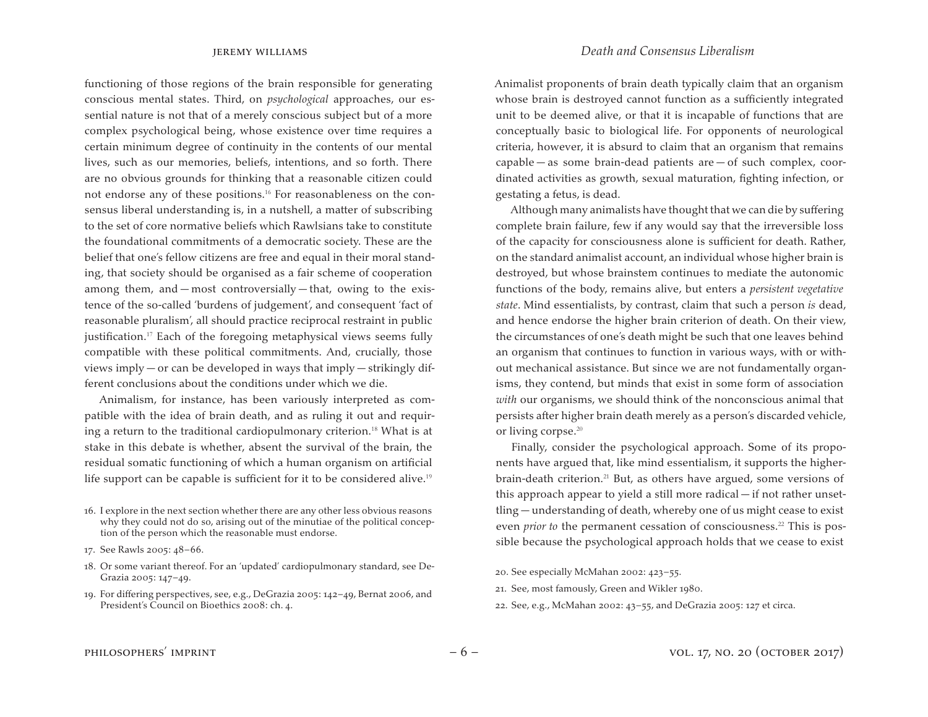functioning of those regions of the brain responsible for generating conscious mental states. Third, on *psychological* approaches, our essential nature is not that of a merely conscious subject but of a more complex psychological being, whose existence over time requires a certain minimum degree of continuity in the contents of our mental lives, such as our memories, beliefs, intentions, and so forth. There are no obvious grounds for thinking that a reasonable citizen could not endorse any of these positions.<sup>16</sup> For reasonableness on the consensus liberal understanding is, in a nutshell, a matter of subscribing to the set of core normative beliefs which Rawlsians take to constitute the foundational commitments of a democratic society. These are the belief that one's fellow citizens are free and equal in their moral standing, that society should be organised as a fair scheme of cooperation among them, and — most controversially — that, owing to the existence of the so-called 'burdens of judgement', and consequent 'fact of reasonable pluralism', all should practice reciprocal restraint in public justification.<sup>17</sup> Each of the foregoing metaphysical views seems fully compatible with these political commitments. And, crucially, those views imply — or can be developed in ways that imply — strikingly different conclusions about the conditions under which we die.

Animalism, for instance, has been variously interpreted as compatible with the idea of brain death, and as ruling it out and requiring a return to the traditional cardiopulmonary criterion.<sup>18</sup> What is at stake in this debate is whether, absent the survival of the brain, the residual somatic functioning of which a human organism on artificial life support can be capable is sufficient for it to be considered alive.<sup>19</sup>

- 16. I explore in the next section whether there are any other less obvious reasons why they could not do so, arising out of the minutiae of the political conception of the person which the reasonable must endorse.
- 17. See Rawls 2005: 48–66.
- 18. Or some variant thereof. For an 'updated' cardiopulmonary standard, see De-Grazia 2005: 147–49.
- 19. For differing perspectives, see, e.g., DeGrazia 2005: 142-49, Bernat 2006, and President's Council on Bioethics 2008: ch. 4.

Animalist proponents of brain death typically claim that an organism whose brain is destroyed cannot function as a sufficiently integrated unit to be deemed alive, or that it is incapable of functions that are conceptually basic to biological life. For opponents of neurological criteria, however, it is absurd to claim that an organism that remains  $capable - as some brain-dead patients are - of such complex, coor$ dinated activities as growth, sexual maturation, fighting infection, or gestating a fetus, is dead.

Although many animalists have thought that we can die by suffering complete brain failure, few if any would say that the irreversible loss of the capacity for consciousness alone is sufficient for death. Rather, on the standard animalist account, an individual whose higher brain is destroyed, but whose brainstem continues to mediate the autonomic functions of the body, remains alive, but enters a *persistent vegetative state*. Mind essentialists, by contrast, claim that such a person *is* dead, and hence endorse the higher brain criterion of death. On their view, the circumstances of one's death might be such that one leaves behind an organism that continues to function in various ways, with or without mechanical assistance. But since we are not fundamentally organisms, they contend, but minds that exist in some form of association *with* our organisms, we should think of the nonconscious animal that persists after higher brain death merely as a person's discarded vehicle, or living corpse.<sup>20</sup>

Finally, consider the psychological approach. Some of its proponents have argued that, like mind essentialism, it supports the higherbrain-death criterion.<sup>21</sup> But, as others have argued, some versions of this approach appear to yield a still more radical — if not rather unsettling — understanding of death, whereby one of us might cease to exist even *prior to* the permanent cessation of consciousness.<sup>22</sup> This is possible because the psychological approach holds that we cease to exist

- 20. See especially McMahan 2002: 423–55.
- 21. See, most famously, Green and Wikler 1980.
- 22. See, e.g., McMahan 2002: 43–55, and DeGrazia 2005: 127 et circa.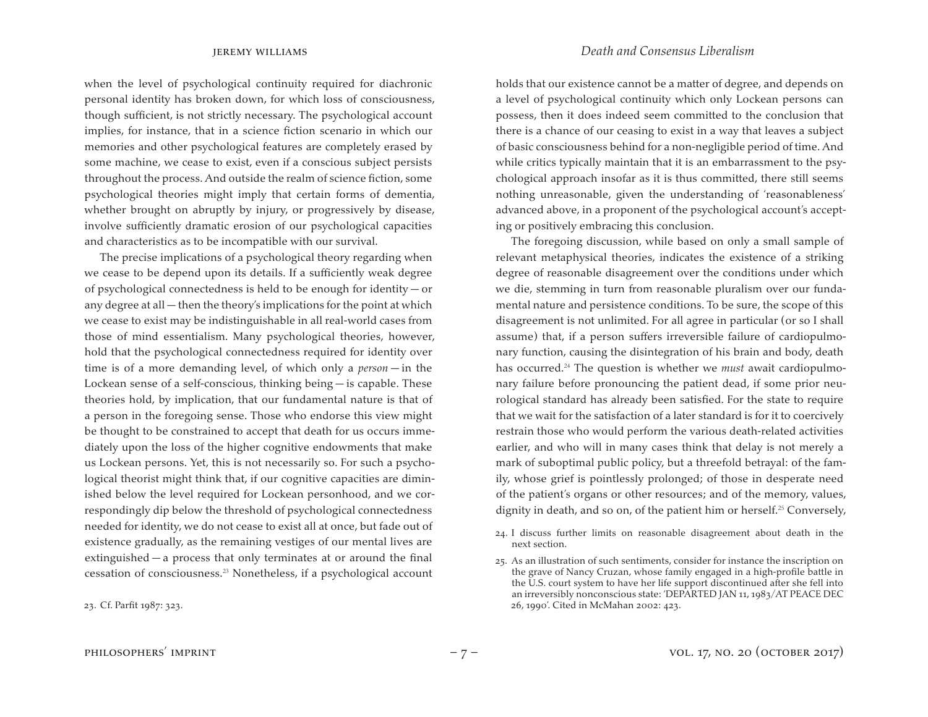jeremy williams *Death and Consensus Liberalism*

when the level of psychological continuity required for diachronic personal identity has broken down, for which loss of consciousness, though sufficient, is not strictly necessary. The psychological account implies, for instance, that in a science fiction scenario in which our memories and other psychological features are completely erased by some machine, we cease to exist, even if a conscious subject persists throughout the process. And outside the realm of science fiction, some psychological theories might imply that certain forms of dementia, whether brought on abruptly by injury, or progressively by disease, involve sufficiently dramatic erosion of our psychological capacities and characteristics as to be incompatible with our survival.

The precise implications of a psychological theory regarding when we cease to be depend upon its details. If a sufficiently weak degree of psychological connectedness is held to be enough for identity — or any degree at all — then the theory's implications for the point at which we cease to exist may be indistinguishable in all real-world cases from those of mind essentialism. Many psychological theories, however, hold that the psychological connectedness required for identity over time is of a more demanding level, of which only a *person* — in the Lockean sense of a self-conscious, thinking being — is capable. These theories hold, by implication, that our fundamental nature is that of a person in the foregoing sense. Those who endorse this view might be thought to be constrained to accept that death for us occurs immediately upon the loss of the higher cognitive endowments that make us Lockean persons. Yet, this is not necessarily so. For such a psychological theorist might think that, if our cognitive capacities are diminished below the level required for Lockean personhood, and we correspondingly dip below the threshold of psychological connectedness needed for identity, we do not cease to exist all at once, but fade out of existence gradually, as the remaining vestiges of our mental lives are extinguished — a process that only terminates at or around the final cessation of consciousness.<sup>23</sup> Nonetheless, if a psychological account

23. Cf. Parfit 1987: 323.

holds that our existence cannot be a matter of degree, and depends on a level of psychological continuity which only Lockean persons can possess, then it does indeed seem committed to the conclusion that there is a chance of our ceasing to exist in a way that leaves a subject of basic consciousness behind for a non-negligible period of time. And while critics typically maintain that it is an embarrassment to the psychological approach insofar as it is thus committed, there still seems nothing unreasonable, given the understanding of 'reasonableness' advanced above, in a proponent of the psychological account's accepting or positively embracing this conclusion.

The foregoing discussion, while based on only a small sample of relevant metaphysical theories, indicates the existence of a striking degree of reasonable disagreement over the conditions under which we die, stemming in turn from reasonable pluralism over our fundamental nature and persistence conditions. To be sure, the scope of this disagreement is not unlimited. For all agree in particular (or so I shall assume) that, if a person suffers irreversible failure of cardiopulmonary function, causing the disintegration of his brain and body, death has occurred.<sup>24</sup> The question is whether we *must* await cardiopulmonary failure before pronouncing the patient dead, if some prior neurological standard has already been satisfied. For the state to require that we wait for the satisfaction of a later standard is for it to coercively restrain those who would perform the various death-related activities earlier, and who will in many cases think that delay is not merely a mark of suboptimal public policy, but a threefold betrayal: of the family, whose grief is pointlessly prolonged; of those in desperate need of the patient's organs or other resources; and of the memory, values, dignity in death, and so on, of the patient him or herself.<sup>25</sup> Conversely,

- 24. I discuss further limits on reasonable disagreement about death in the next section.
- 25. As an illustration of such sentiments, consider for instance the inscription on the grave of Nancy Cruzan, whose family engaged in a high-profile battle in the U.S. court system to have her life support discontinued after she fell into an irreversibly nonconscious state: 'DEPARTED JAN 11, 1983/AT PEACE DEC 26, 1990'. Cited in McMahan 2002: 423.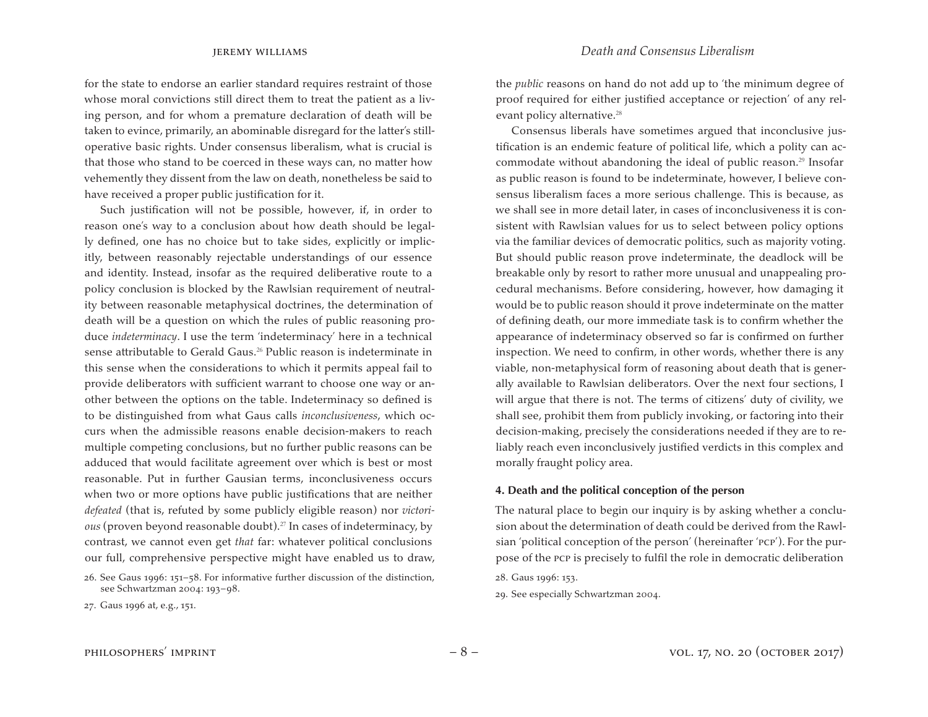for the state to endorse an earlier standard requires restraint of those whose moral convictions still direct them to treat the patient as a living person, and for whom a premature declaration of death will be taken to evince, primarily, an abominable disregard for the latter's stilloperative basic rights. Under consensus liberalism, what is crucial is that those who stand to be coerced in these ways can, no matter how vehemently they dissent from the law on death, nonetheless be said to have received a proper public justification for it.

Such justification will not be possible, however, if, in order to reason one's way to a conclusion about how death should be legally defined, one has no choice but to take sides, explicitly or implicitly, between reasonably rejectable understandings of our essence and identity. Instead, insofar as the required deliberative route to a policy conclusion is blocked by the Rawlsian requirement of neutrality between reasonable metaphysical doctrines, the determination of death will be a question on which the rules of public reasoning produce *indeterminacy*. I use the term 'indeterminacy' here in a technical sense attributable to Gerald Gaus.<sup>26</sup> Public reason is indeterminate in this sense when the considerations to which it permits appeal fail to provide deliberators with sufficient warrant to choose one way or another between the options on the table. Indeterminacy so defined is to be distinguished from what Gaus calls *inconclusiveness*, which occurs when the admissible reasons enable decision-makers to reach multiple competing conclusions, but no further public reasons can be adduced that would facilitate agreement over which is best or most reasonable. Put in further Gausian terms, inconclusiveness occurs when two or more options have public justifications that are neither *defeated* (that is, refuted by some publicly eligible reason) nor *victorious* (proven beyond reasonable doubt).<sup>27</sup> In cases of indeterminacy, by contrast, we cannot even get *that* far: whatever political conclusions our full, comprehensive perspective might have enabled us to draw,

26. See Gaus 1996: 151–58. For informative further discussion of the distinction, see Schwartzman 2004: 193–98.

jeremy williams *Death and Consensus Liberalism*

the *public* reasons on hand do not add up to 'the minimum degree of proof required for either justified acceptance or rejection' of any relevant policy alternative.<sup>28</sup>

Consensus liberals have sometimes argued that inconclusive justification is an endemic feature of political life, which a polity can accommodate without abandoning the ideal of public reason.<sup>29</sup> Insofar as public reason is found to be indeterminate, however, I believe consensus liberalism faces a more serious challenge. This is because, as we shall see in more detail later, in cases of inconclusiveness it is consistent with Rawlsian values for us to select between policy options via the familiar devices of democratic politics, such as majority voting. But should public reason prove indeterminate, the deadlock will be breakable only by resort to rather more unusual and unappealing procedural mechanisms. Before considering, however, how damaging it would be to public reason should it prove indeterminate on the matter of defining death, our more immediate task is to confirm whether the appearance of indeterminacy observed so far is confirmed on further inspection. We need to confirm, in other words, whether there is any viable, non-metaphysical form of reasoning about death that is generally available to Rawlsian deliberators. Over the next four sections, I will argue that there is not. The terms of citizens' duty of civility, we shall see, prohibit them from publicly invoking, or factoring into their decision-making, precisely the considerations needed if they are to reliably reach even inconclusively justified verdicts in this complex and morally fraught policy area.

### **4. Death and the political conception of the person**

The natural place to begin our inquiry is by asking whether a conclusion about the determination of death could be derived from the Rawlsian 'political conception of the person' (hereinafter 'pcp'). For the purpose of the pcp is precisely to fulfil the role in democratic deliberation

28. Gaus 1996: 153.

29. See especially Schwartzman 2004.

<sup>27.</sup> Gaus 1996 at, e.g., 151.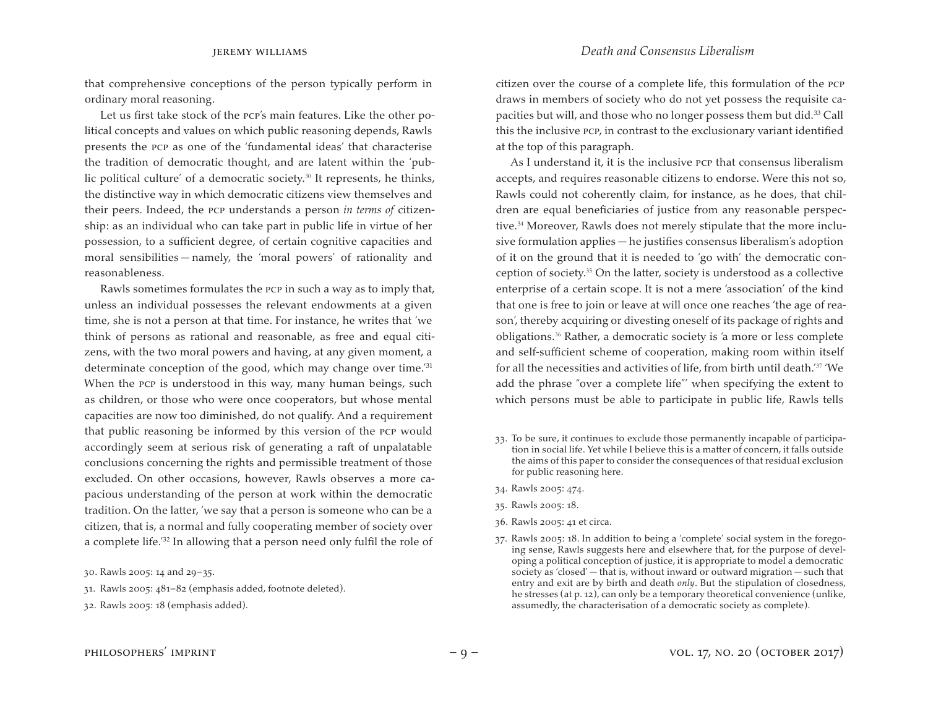that comprehensive conceptions of the person typically perform in ordinary moral reasoning.

Let us first take stock of the pcp's main features. Like the other political concepts and values on which public reasoning depends, Rawls presents the pcp as one of the 'fundamental ideas' that characterise the tradition of democratic thought, and are latent within the 'public political culture' of a democratic society.<sup>30</sup> It represents, he thinks, the distinctive way in which democratic citizens view themselves and their peers. Indeed, the pcp understands a person *in terms of* citizenship: as an individual who can take part in public life in virtue of her possession, to a sufficient degree, of certain cognitive capacities and moral sensibilities — namely, the 'moral powers' of rationality and reasonableness.

Rawls sometimes formulates the pcp in such a way as to imply that, unless an individual possesses the relevant endowments at a given time, she is not a person at that time. For instance, he writes that 'we think of persons as rational and reasonable, as free and equal citizens, with the two moral powers and having, at any given moment, a determinate conception of the good, which may change over time.<sup>'31</sup> When the PCP is understood in this way, many human beings, such as children, or those who were once cooperators, but whose mental capacities are now too diminished, do not qualify. And a requirement that public reasoning be informed by this version of the pcp would accordingly seem at serious risk of generating a raft of unpalatable conclusions concerning the rights and permissible treatment of those excluded. On other occasions, however, Rawls observes a more capacious understanding of the person at work within the democratic tradition. On the latter, 'we say that a person is someone who can be a citizen, that is, a normal and fully cooperating member of society over a complete life.'32 In allowing that a person need only fulfil the role of

citizen over the course of a complete life, this formulation of the pcp draws in members of society who do not yet possess the requisite capacities but will, and those who no longer possess them but did.33 Call this the inclusive pcp, in contrast to the exclusionary variant identified at the top of this paragraph.

As I understand it, it is the inclusive pcp that consensus liberalism accepts, and requires reasonable citizens to endorse. Were this not so, Rawls could not coherently claim, for instance, as he does, that children are equal beneficiaries of justice from any reasonable perspective.<sup>34</sup> Moreover, Rawls does not merely stipulate that the more inclusive formulation applies — he justifies consensus liberalism's adoption of it on the ground that it is needed to 'go with' the democratic conception of society.<sup>35</sup> On the latter, society is understood as a collective enterprise of a certain scope. It is not a mere 'association' of the kind that one is free to join or leave at will once one reaches 'the age of reason', thereby acquiring or divesting oneself of its package of rights and obligations.<sup>36</sup> Rather, a democratic society is 'a more or less complete and self-sufficient scheme of cooperation, making room within itself for all the necessities and activities of life, from birth until death.'<sup>37</sup> 'We add the phrase "over a complete life"' when specifying the extent to which persons must be able to participate in public life, Rawls tells

- 33. To be sure, it continues to exclude those permanently incapable of participation in social life. Yet while I believe this is a matter of concern, it falls outside the aims of this paper to consider the consequences of that residual exclusion for public reasoning here.
- 34. Rawls 2005: 474.
- 35. Rawls 2005: 18.
- 36. Rawls 2005: 41 et circa.
- 37. Rawls 2005: 18. In addition to being a 'complete' social system in the foregoing sense, Rawls suggests here and elsewhere that, for the purpose of developing a political conception of justice, it is appropriate to model a democratic society as 'closed' — that is, without inward or outward migration — such that entry and exit are by birth and death *only*. But the stipulation of closedness, he stresses (at p. 12), can only be a temporary theoretical convenience (unlike, assumedly, the characterisation of a democratic society as complete).

<sup>30.</sup> Rawls 2005: 14 and 29–35.

<sup>31.</sup> Rawls 2005: 481-82 (emphasis added, footnote deleted).

<sup>32.</sup> Rawls 2005: 18 (emphasis added).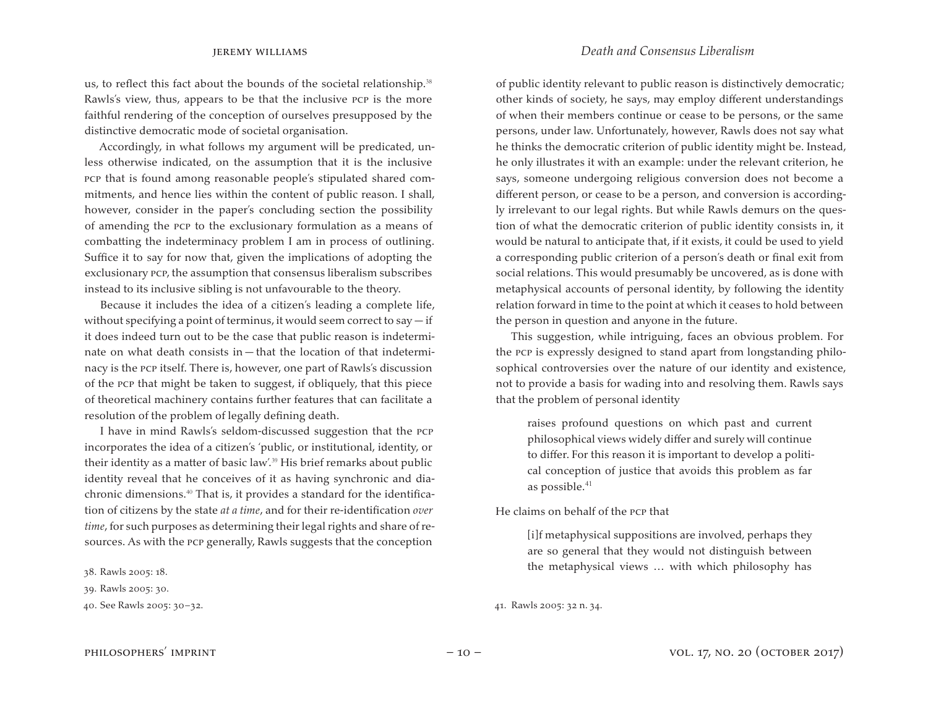us, to reflect this fact about the bounds of the societal relationship.<sup>38</sup> Rawls's view, thus, appears to be that the inclusive pcp is the more faithful rendering of the conception of ourselves presupposed by the distinctive democratic mode of societal organisation.

Accordingly, in what follows my argument will be predicated, unless otherwise indicated, on the assumption that it is the inclusive pcp that is found among reasonable people's stipulated shared commitments, and hence lies within the content of public reason. I shall, however, consider in the paper's concluding section the possibility of amending the pcp to the exclusionary formulation as a means of combatting the indeterminacy problem I am in process of outlining. Suffice it to say for now that, given the implications of adopting the exclusionary pcp, the assumption that consensus liberalism subscribes instead to its inclusive sibling is not unfavourable to the theory.

Because it includes the idea of a citizen's leading a complete life, without specifying a point of terminus, it would seem correct to say  $-$  if it does indeed turn out to be the case that public reason is indeterminate on what death consists in — that the location of that indeterminacy is the pcp itself. There is, however, one part of Rawls's discussion of the pcp that might be taken to suggest, if obliquely, that this piece of theoretical machinery contains further features that can facilitate a resolution of the problem of legally defining death.

I have in mind Rawls's seldom-discussed suggestion that the pcp incorporates the idea of a citizen's 'public, or institutional, identity, or their identity as a matter of basic law'.<sup>39</sup> His brief remarks about public identity reveal that he conceives of it as having synchronic and diachronic dimensions.<sup>40</sup> That is, it provides a standard for the identification of citizens by the state *at a time*, and for their re-identification *over time*, for such purposes as determining their legal rights and share of resources. As with the pcp generally, Rawls suggests that the conception

38. Rawls 2005: 18.

### jeremy williams *Death and Consensus Liberalism*

of public identity relevant to public reason is distinctively democratic; other kinds of society, he says, may employ different understandings of when their members continue or cease to be persons, or the same persons, under law. Unfortunately, however, Rawls does not say what he thinks the democratic criterion of public identity might be. Instead, he only illustrates it with an example: under the relevant criterion, he says, someone undergoing religious conversion does not become a different person, or cease to be a person, and conversion is accordingly irrelevant to our legal rights. But while Rawls demurs on the question of what the democratic criterion of public identity consists in, it would be natural to anticipate that, if it exists, it could be used to yield a corresponding public criterion of a person's death or final exit from social relations. This would presumably be uncovered, as is done with metaphysical accounts of personal identity, by following the identity relation forward in time to the point at which it ceases to hold between the person in question and anyone in the future.

This suggestion, while intriguing, faces an obvious problem. For the pcp is expressly designed to stand apart from longstanding philosophical controversies over the nature of our identity and existence, not to provide a basis for wading into and resolving them. Rawls says that the problem of personal identity

raises profound questions on which past and current philosophical views widely differ and surely will continue to differ. For this reason it is important to develop a political conception of justice that avoids this problem as far as possible.<sup>41</sup>

He claims on behalf of the pcp that

[i]f metaphysical suppositions are involved, perhaps they are so general that they would not distinguish between the metaphysical views … with which philosophy has

### 41. Rawls 2005: 32 n. 34.

<sup>39.</sup> Rawls 2005: 30.

<sup>40.</sup> See Rawls 2005: 30–32.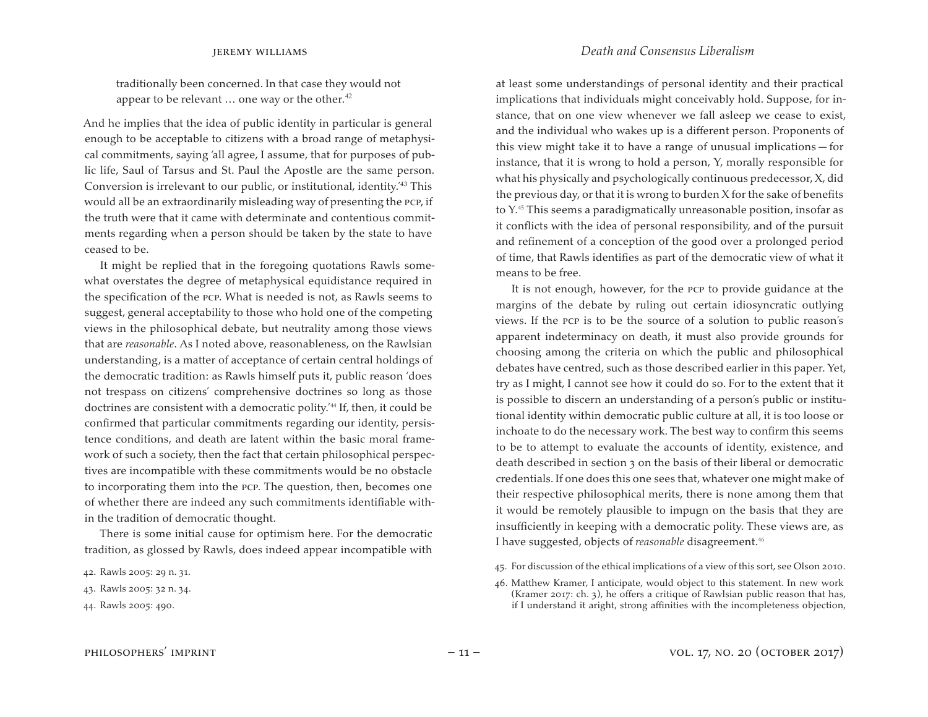traditionally been concerned. In that case they would not appear to be relevant  $\ldots$  one way or the other.<sup>42</sup>

And he implies that the idea of public identity in particular is general enough to be acceptable to citizens with a broad range of metaphysical commitments, saying 'all agree, I assume, that for purposes of public life, Saul of Tarsus and St. Paul the Apostle are the same person. Conversion is irrelevant to our public, or institutional, identity.'43 This would all be an extraordinarily misleading way of presenting the pcp, if the truth were that it came with determinate and contentious commitments regarding when a person should be taken by the state to have ceased to be.

It might be replied that in the foregoing quotations Rawls somewhat overstates the degree of metaphysical equidistance required in the specification of the pcp. What is needed is not, as Rawls seems to suggest, general acceptability to those who hold one of the competing views in the philosophical debate, but neutrality among those views that are *reasonable*. As I noted above, reasonableness, on the Rawlsian understanding, is a matter of acceptance of certain central holdings of the democratic tradition: as Rawls himself puts it, public reason 'does not trespass on citizens' comprehensive doctrines so long as those doctrines are consistent with a democratic polity.<sup>'44</sup> If, then, it could be confirmed that particular commitments regarding our identity, persistence conditions, and death are latent within the basic moral framework of such a society, then the fact that certain philosophical perspectives are incompatible with these commitments would be no obstacle to incorporating them into the pcp. The question, then, becomes one of whether there are indeed any such commitments identifiable within the tradition of democratic thought.

There is some initial cause for optimism here. For the democratic tradition, as glossed by Rawls, does indeed appear incompatible with

jeremy williams *Death and Consensus Liberalism*

at least some understandings of personal identity and their practical implications that individuals might conceivably hold. Suppose, for instance, that on one view whenever we fall asleep we cease to exist, and the individual who wakes up is a different person. Proponents of this view might take it to have a range of unusual implications — for instance, that it is wrong to hold a person, Y, morally responsible for what his physically and psychologically continuous predecessor, X, did the previous day, or that it is wrong to burden X for the sake of benefits to Y.<sup>45</sup> This seems a paradigmatically unreasonable position, insofar as it conflicts with the idea of personal responsibility, and of the pursuit and refinement of a conception of the good over a prolonged period of time, that Rawls identifies as part of the democratic view of what it means to be free.

It is not enough, however, for the pcp to provide guidance at the margins of the debate by ruling out certain idiosyncratic outlying views. If the pcp is to be the source of a solution to public reason's apparent indeterminacy on death, it must also provide grounds for choosing among the criteria on which the public and philosophical debates have centred, such as those described earlier in this paper. Yet, try as I might, I cannot see how it could do so. For to the extent that it is possible to discern an understanding of a person's public or institutional identity within democratic public culture at all, it is too loose or inchoate to do the necessary work. The best way to confirm this seems to be to attempt to evaluate the accounts of identity, existence, and death described in section 3 on the basis of their liberal or democratic credentials. If one does this one sees that, whatever one might make of their respective philosophical merits, there is none among them that it would be remotely plausible to impugn on the basis that they are insufficiently in keeping with a democratic polity. These views are, as I have suggested, objects of *reasonable* disagreement.<sup>46</sup>

- 45. For discussion of the ethical implications of a view of this sort, see Olson 2010.
- 46. Matthew Kramer, I anticipate, would object to this statement. In new work (Kramer 2017: ch. 3), he offers a critique of Rawlsian public reason that has, if I understand it aright, strong affinities with the incompleteness objection,

<sup>42.</sup> Rawls 2005: 29 n. 31.

<sup>43.</sup> Rawls 2005: 32 n. 34.

<sup>44.</sup> Rawls 2005: 490.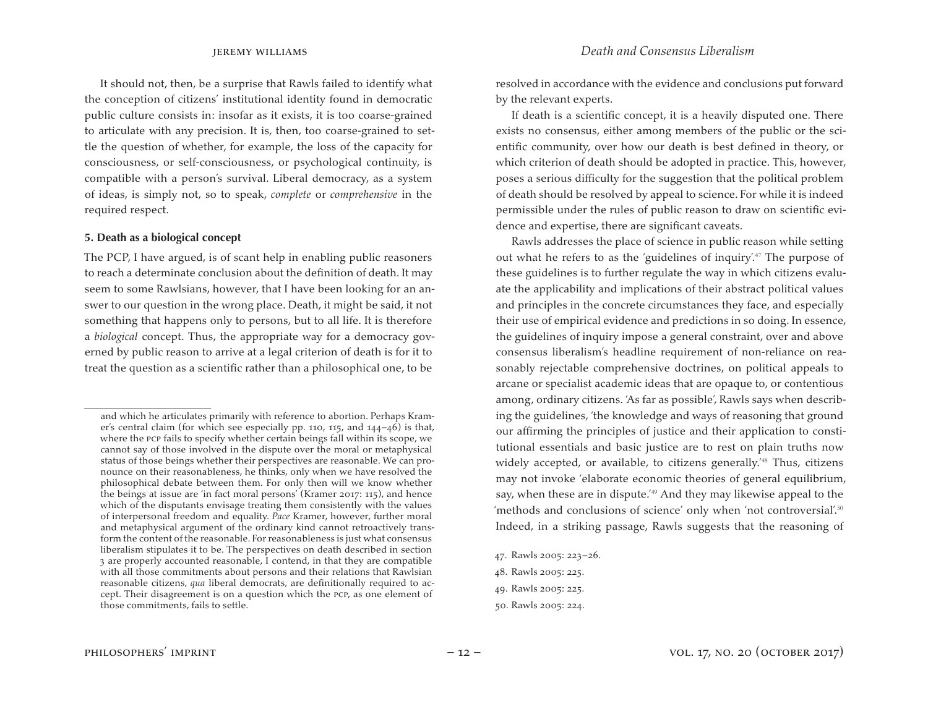It should not, then, be a surprise that Rawls failed to identify what the conception of citizens' institutional identity found in democratic public culture consists in: insofar as it exists, it is too coarse-grained to articulate with any precision. It is, then, too coarse-grained to settle the question of whether, for example, the loss of the capacity for consciousness, or self-consciousness, or psychological continuity, is compatible with a person's survival. Liberal democracy, as a system of ideas, is simply not, so to speak, *complete* or *comprehensive* in the required respect.

### **5. Death as a biological concept**

The PCP, I have argued, is of scant help in enabling public reasoners to reach a determinate conclusion about the definition of death. It may seem to some Rawlsians, however, that I have been looking for an answer to our question in the wrong place. Death, it might be said, it not something that happens only to persons, but to all life. It is therefore a *biological* concept. Thus, the appropriate way for a democracy governed by public reason to arrive at a legal criterion of death is for it to treat the question as a scientific rather than a philosophical one, to be

resolved in accordance with the evidence and conclusions put forward by the relevant experts.

If death is a scientific concept, it is a heavily disputed one. There exists no consensus, either among members of the public or the scientific community, over how our death is best defined in theory, or which criterion of death should be adopted in practice. This, however, poses a serious difficulty for the suggestion that the political problem of death should be resolved by appeal to science. For while it is indeed permissible under the rules of public reason to draw on scientific evidence and expertise, there are significant caveats.

Rawls addresses the place of science in public reason while setting out what he refers to as the 'guidelines of inquiry'.<sup>47</sup> The purpose of these guidelines is to further regulate the way in which citizens evaluate the applicability and implications of their abstract political values and principles in the concrete circumstances they face, and especially their use of empirical evidence and predictions in so doing. In essence, the guidelines of inquiry impose a general constraint, over and above consensus liberalism's headline requirement of non-reliance on reasonably rejectable comprehensive doctrines, on political appeals to arcane or specialist academic ideas that are opaque to, or contentious among, ordinary citizens. 'As far as possible', Rawls says when describing the guidelines, 'the knowledge and ways of reasoning that ground our affirming the principles of justice and their application to constitutional essentials and basic justice are to rest on plain truths now widely accepted, or available, to citizens generally.<sup>48</sup> Thus, citizens may not invoke 'elaborate economic theories of general equilibrium, say, when these are in dispute.<sup>'49</sup> And they may likewise appeal to the 'methods and conclusions of science' only when 'not controversial'.<sup>50</sup> Indeed, in a striking passage, Rawls suggests that the reasoning of

and which he articulates primarily with reference to abortion. Perhaps Kramer's central claim (for which see especially pp. 110, 115, and 144-46) is that, where the pcp fails to specify whether certain beings fall within its scope, we cannot say of those involved in the dispute over the moral or metaphysical status of those beings whether their perspectives are reasonable. We can pronounce on their reasonableness, he thinks, only when we have resolved the philosophical debate between them. For only then will we know whether the beings at issue are 'in fact moral persons' (Kramer 2017: 115), and hence which of the disputants envisage treating them consistently with the values of interpersonal freedom and equality. *Pace* Kramer, however, further moral and metaphysical argument of the ordinary kind cannot retroactively transform the content of the reasonable. For reasonableness is just what consensus liberalism stipulates it to be. The perspectives on death described in section 3 are properly accounted reasonable, I contend, in that they are compatible with all those commitments about persons and their relations that Rawlsian reasonable citizens, *qua* liberal democrats, are definitionally required to accept. Their disagreement is on a question which the pcp, as one element of those commitments, fails to settle.

<sup>47.</sup> Rawls 2005: 223–26.

<sup>48.</sup> Rawls 2005: 225.

<sup>49.</sup> Rawls 2005: 225.

<sup>50.</sup> Rawls 2005: 224.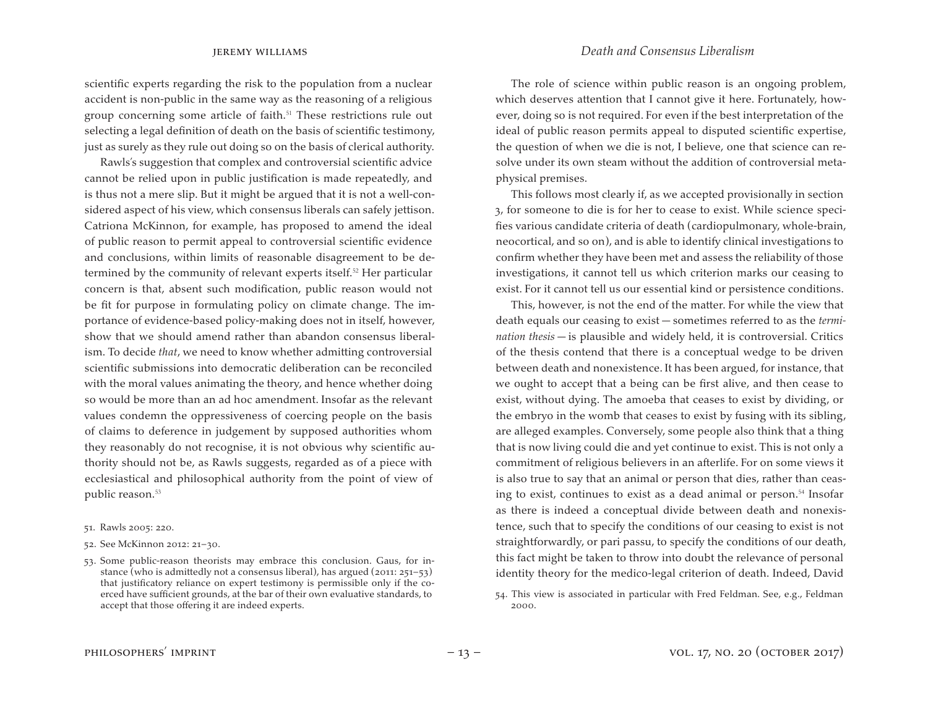scientific experts regarding the risk to the population from a nuclear accident is non-public in the same way as the reasoning of a religious group concerning some article of faith.<sup>51</sup> These restrictions rule out selecting a legal definition of death on the basis of scientific testimony, just as surely as they rule out doing so on the basis of clerical authority.

Rawls's suggestion that complex and controversial scientific advice cannot be relied upon in public justification is made repeatedly, and is thus not a mere slip. But it might be argued that it is not a well-considered aspect of his view, which consensus liberals can safely jettison. Catriona McKinnon, for example, has proposed to amend the ideal of public reason to permit appeal to controversial scientific evidence and conclusions, within limits of reasonable disagreement to be determined by the community of relevant experts itself.<sup>52</sup> Her particular concern is that, absent such modification, public reason would not be fit for purpose in formulating policy on climate change. The importance of evidence-based policy-making does not in itself, however, show that we should amend rather than abandon consensus liberalism. To decide *that*, we need to know whether admitting controversial scientific submissions into democratic deliberation can be reconciled with the moral values animating the theory, and hence whether doing so would be more than an ad hoc amendment. Insofar as the relevant values condemn the oppressiveness of coercing people on the basis of claims to deference in judgement by supposed authorities whom they reasonably do not recognise, it is not obvious why scientific authority should not be, as Rawls suggests, regarded as of a piece with ecclesiastical and philosophical authority from the point of view of public reason.<sup>53</sup>

51. Rawls 2005: 220.

52. See McKinnon 2012: 21–30.

53. Some public-reason theorists may embrace this conclusion. Gaus, for instance (who is admittedly not a consensus liberal), has argued (2011: 251–53) that justificatory reliance on expert testimony is permissible only if the coerced have sufficient grounds, at the bar of their own evaluative standards, to accept that those offering it are indeed experts.

The role of science within public reason is an ongoing problem, which deserves attention that I cannot give it here. Fortunately, however, doing so is not required. For even if the best interpretation of the ideal of public reason permits appeal to disputed scientific expertise, the question of when we die is not, I believe, one that science can resolve under its own steam without the addition of controversial metaphysical premises.

This follows most clearly if, as we accepted provisionally in section 3, for someone to die is for her to cease to exist. While science specifies various candidate criteria of death (cardiopulmonary, whole-brain, neocortical, and so on), and is able to identify clinical investigations to confirm whether they have been met and assess the reliability of those investigations, it cannot tell us which criterion marks our ceasing to exist. For it cannot tell us our essential kind or persistence conditions.

This, however, is not the end of the matter. For while the view that death equals our ceasing to exist — sometimes referred to as the *termination thesis* — is plausible and widely held, it is controversial. Critics of the thesis contend that there is a conceptual wedge to be driven between death and nonexistence. It has been argued, for instance, that we ought to accept that a being can be first alive, and then cease to exist, without dying. The amoeba that ceases to exist by dividing, or the embryo in the womb that ceases to exist by fusing with its sibling, are alleged examples. Conversely, some people also think that a thing that is now living could die and yet continue to exist. This is not only a commitment of religious believers in an afterlife. For on some views it is also true to say that an animal or person that dies, rather than ceasing to exist, continues to exist as a dead animal or person.<sup>54</sup> Insofar as there is indeed a conceptual divide between death and nonexistence, such that to specify the conditions of our ceasing to exist is not straightforwardly, or pari passu, to specify the conditions of our death, this fact might be taken to throw into doubt the relevance of personal identity theory for the medico-legal criterion of death. Indeed, David

<sup>54.</sup> This view is associated in particular with Fred Feldman. See, e.g., Feldman 2000.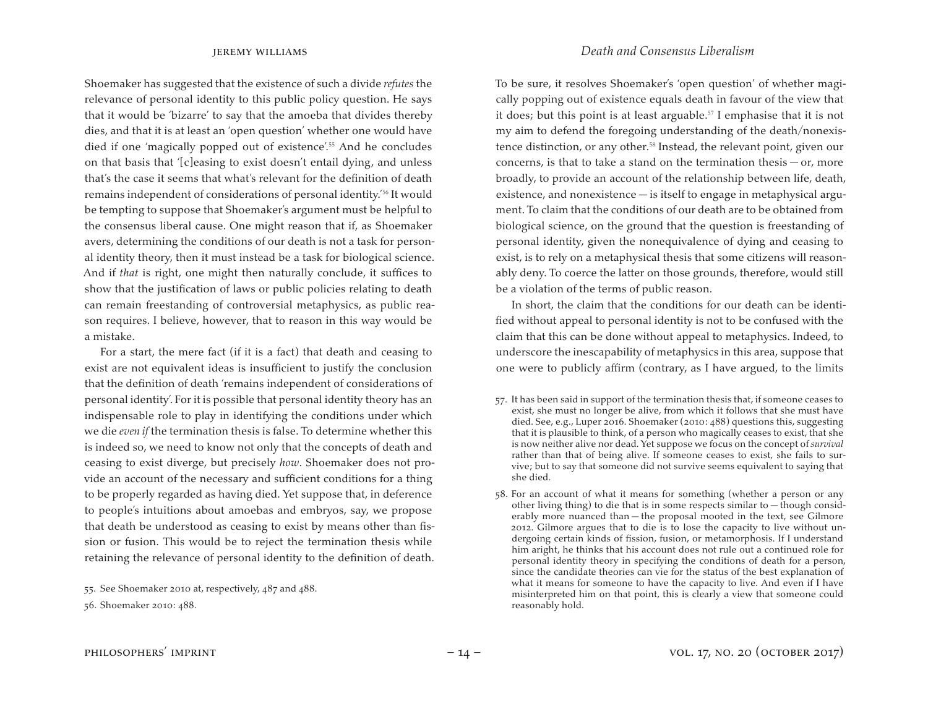Shoemaker has suggested that the existence of such a divide *refutes* the relevance of personal identity to this public policy question. He says that it would be 'bizarre' to say that the amoeba that divides thereby dies, and that it is at least an 'open question' whether one would have died if one 'magically popped out of existence'.<sup>55</sup> And he concludes on that basis that '[c]easing to exist doesn't entail dying, and unless that's the case it seems that what's relevant for the definition of death remains independent of considerations of personal identity.'<sup>56</sup> It would be tempting to suppose that Shoemaker's argument must be helpful to the consensus liberal cause. One might reason that if, as Shoemaker avers, determining the conditions of our death is not a task for personal identity theory, then it must instead be a task for biological science. And if *that* is right, one might then naturally conclude, it suffices to show that the justification of laws or public policies relating to death can remain freestanding of controversial metaphysics, as public reason requires. I believe, however, that to reason in this way would be a mistake.

For a start, the mere fact (if it is a fact) that death and ceasing to exist are not equivalent ideas is insufficient to justify the conclusion that the definition of death 'remains independent of considerations of personal identity'. For it is possible that personal identity theory has an indispensable role to play in identifying the conditions under which we die *even if* the termination thesis is false. To determine whether this is indeed so, we need to know not only that the concepts of death and ceasing to exist diverge, but precisely *how*. Shoemaker does not provide an account of the necessary and sufficient conditions for a thing to be properly regarded as having died. Yet suppose that, in deference to people's intuitions about amoebas and embryos, say, we propose that death be understood as ceasing to exist by means other than fission or fusion. This would be to reject the termination thesis while retaining the relevance of personal identity to the definition of death.

55. See Shoemaker 2010 at, respectively, 487 and 488. 56. Shoemaker 2010: 488.

To be sure, it resolves Shoemaker's 'open question' of whether magically popping out of existence equals death in favour of the view that it does; but this point is at least arguable.<sup>57</sup> I emphasise that it is not my aim to defend the foregoing understanding of the death/nonexistence distinction, or any other.<sup>58</sup> Instead, the relevant point, given our concerns, is that to take a stand on the termination thesis  $-$  or, more broadly, to provide an account of the relationship between life, death, existence, and nonexistence — is itself to engage in metaphysical argument. To claim that the conditions of our death are to be obtained from biological science, on the ground that the question is freestanding of personal identity, given the nonequivalence of dying and ceasing to exist, is to rely on a metaphysical thesis that some citizens will reasonably deny. To coerce the latter on those grounds, therefore, would still be a violation of the terms of public reason.

In short, the claim that the conditions for our death can be identified without appeal to personal identity is not to be confused with the claim that this can be done without appeal to metaphysics. Indeed, to underscore the inescapability of metaphysics in this area, suppose that one were to publicly affirm (contrary, as I have argued, to the limits

- 57. It has been said in support of the termination thesis that, if someone ceases to exist, she must no longer be alive, from which it follows that she must have died. See, e.g., Luper 2016. Shoemaker (2010: 488) questions this, suggesting that it is plausible to think, of a person who magically ceases to exist, that she is now neither alive nor dead. Yet suppose we focus on the concept of *survival*  rather than that of being alive. If someone ceases to exist, she fails to survive; but to say that someone did not survive seems equivalent to saying that she died.
- 58. For an account of what it means for something (whether a person or any other living thing) to die that is in some respects similar to — though considerably more nuanced than — the proposal mooted in the text, see Gilmore 2012. Gilmore argues that to die is to lose the capacity to live without undergoing certain kinds of fission, fusion, or metamorphosis. If I understand him aright, he thinks that his account does not rule out a continued role for personal identity theory in specifying the conditions of death for a person, since the candidate theories can vie for the status of the best explanation of what it means for someone to have the capacity to live. And even if I have misinterpreted him on that point, this is clearly a view that someone could reasonably hold.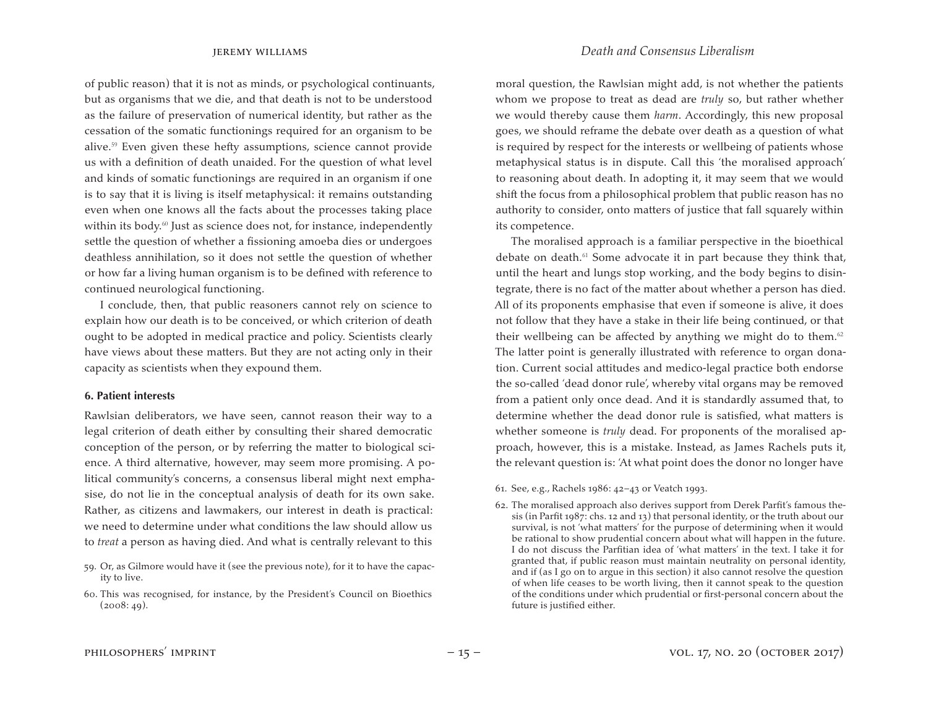jeremy williams *Death and Consensus Liberalism*

of public reason) that it is not as minds, or psychological continuants, but as organisms that we die, and that death is not to be understood as the failure of preservation of numerical identity, but rather as the cessation of the somatic functionings required for an organism to be alive.<sup>59</sup> Even given these hefty assumptions, science cannot provide us with a definition of death unaided. For the question of what level and kinds of somatic functionings are required in an organism if one is to say that it is living is itself metaphysical: it remains outstanding even when one knows all the facts about the processes taking place within its body.<sup>60</sup> Just as science does not, for instance, independently settle the question of whether a fissioning amoeba dies or undergoes deathless annihilation, so it does not settle the question of whether or how far a living human organism is to be defined with reference to continued neurological functioning.

I conclude, then, that public reasoners cannot rely on science to explain how our death is to be conceived, or which criterion of death ought to be adopted in medical practice and policy. Scientists clearly have views about these matters. But they are not acting only in their capacity as scientists when they expound them.

### **6. Patient interests**

Rawlsian deliberators, we have seen, cannot reason their way to a legal criterion of death either by consulting their shared democratic conception of the person, or by referring the matter to biological science. A third alternative, however, may seem more promising. A political community's concerns, a consensus liberal might next emphasise, do not lie in the conceptual analysis of death for its own sake. Rather, as citizens and lawmakers, our interest in death is practical: we need to determine under what conditions the law should allow us to *treat* a person as having died. And what is centrally relevant to this

- 59. Or, as Gilmore would have it (see the previous note), for it to have the capacity to live.
- 60. This was recognised, for instance, by the President's Council on Bioethics  $(2008:49)$ .

moral question, the Rawlsian might add, is not whether the patients whom we propose to treat as dead are *truly* so, but rather whether we would thereby cause them *harm*. Accordingly, this new proposal goes, we should reframe the debate over death as a question of what is required by respect for the interests or wellbeing of patients whose metaphysical status is in dispute. Call this 'the moralised approach' to reasoning about death. In adopting it, it may seem that we would shift the focus from a philosophical problem that public reason has no authority to consider, onto matters of justice that fall squarely within its competence.

The moralised approach is a familiar perspective in the bioethical debate on death.<sup>61</sup> Some advocate it in part because they think that, until the heart and lungs stop working, and the body begins to disintegrate, there is no fact of the matter about whether a person has died. All of its proponents emphasise that even if someone is alive, it does not follow that they have a stake in their life being continued, or that their wellbeing can be affected by anything we might do to them. $62$ The latter point is generally illustrated with reference to organ donation. Current social attitudes and medico-legal practice both endorse the so-called 'dead donor rule', whereby vital organs may be removed from a patient only once dead. And it is standardly assumed that, to determine whether the dead donor rule is satisfied, what matters is whether someone is *truly* dead. For proponents of the moralised approach, however, this is a mistake. Instead, as James Rachels puts it, the relevant question is: 'At what point does the donor no longer have

- 61. See, e.g., Rachels 1986: 42–43 or Veatch 1993.
- 62. The moralised approach also derives support from Derek Parfit's famous thesis (in Parfit 1987: chs. 12 and 13) that personal identity, or the truth about our survival, is not 'what matters' for the purpose of determining when it would be rational to show prudential concern about what will happen in the future. I do not discuss the Parfitian idea of 'what matters' in the text. I take it for granted that, if public reason must maintain neutrality on personal identity, and if (as I go on to argue in this section) it also cannot resolve the question of when life ceases to be worth living, then it cannot speak to the question of the conditions under which prudential or first-personal concern about the future is justified either.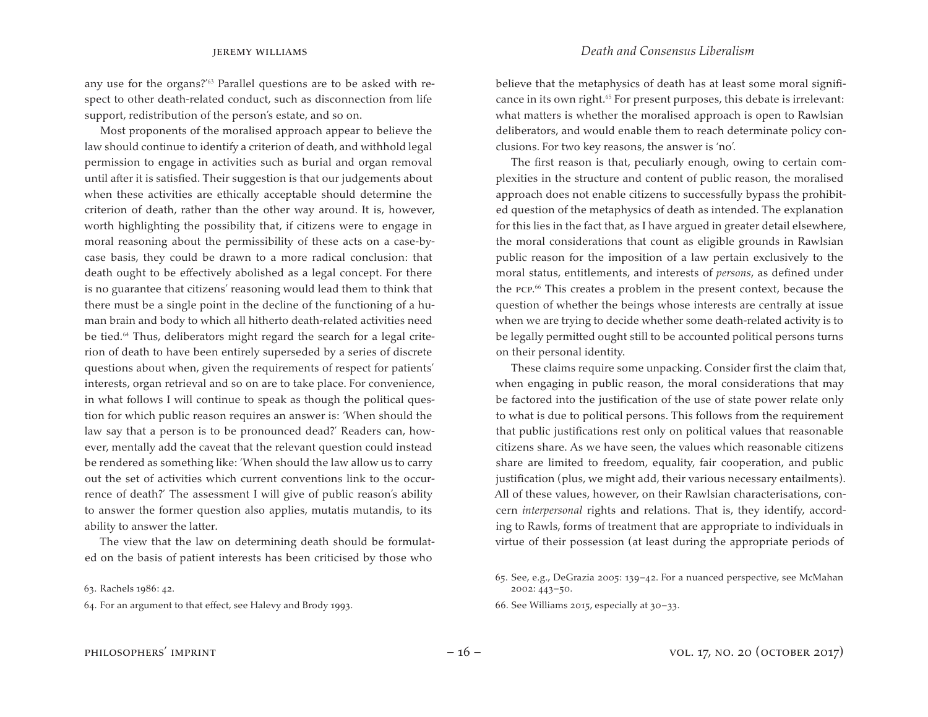any use for the organs?'<sup>63</sup> Parallel questions are to be asked with respect to other death-related conduct, such as disconnection from life support, redistribution of the person's estate, and so on.

Most proponents of the moralised approach appear to believe the law should continue to identify a criterion of death, and withhold legal permission to engage in activities such as burial and organ removal until after it is satisfied. Their suggestion is that our judgements about when these activities are ethically acceptable should determine the criterion of death, rather than the other way around. It is, however, worth highlighting the possibility that, if citizens were to engage in moral reasoning about the permissibility of these acts on a case-bycase basis, they could be drawn to a more radical conclusion: that death ought to be effectively abolished as a legal concept. For there is no guarantee that citizens' reasoning would lead them to think that there must be a single point in the decline of the functioning of a human brain and body to which all hitherto death-related activities need be tied.<sup>64</sup> Thus, deliberators might regard the search for a legal criterion of death to have been entirely superseded by a series of discrete questions about when, given the requirements of respect for patients' interests, organ retrieval and so on are to take place. For convenience, in what follows I will continue to speak as though the political question for which public reason requires an answer is: 'When should the law say that a person is to be pronounced dead?' Readers can, however, mentally add the caveat that the relevant question could instead be rendered as something like: 'When should the law allow us to carry out the set of activities which current conventions link to the occurrence of death?' The assessment I will give of public reason's ability to answer the former question also applies, mutatis mutandis, to its ability to answer the latter.

The view that the law on determining death should be formulated on the basis of patient interests has been criticised by those who

64. For an argument to that effect, see Halevy and Brody 1993.

believe that the metaphysics of death has at least some moral significance in its own right.<sup>65</sup> For present purposes, this debate is irrelevant: what matters is whether the moralised approach is open to Rawlsian deliberators, and would enable them to reach determinate policy conclusions. For two key reasons, the answer is 'no'.

The first reason is that, peculiarly enough, owing to certain complexities in the structure and content of public reason, the moralised approach does not enable citizens to successfully bypass the prohibited question of the metaphysics of death as intended. The explanation for this lies in the fact that, as I have argued in greater detail elsewhere, the moral considerations that count as eligible grounds in Rawlsian public reason for the imposition of a law pertain exclusively to the moral status, entitlements, and interests of *persons*, as defined under the pcp. <sup>66</sup> This creates a problem in the present context, because the question of whether the beings whose interests are centrally at issue when we are trying to decide whether some death-related activity is to be legally permitted ought still to be accounted political persons turns on their personal identity.

These claims require some unpacking. Consider first the claim that, when engaging in public reason, the moral considerations that may be factored into the justification of the use of state power relate only to what is due to political persons. This follows from the requirement that public justifications rest only on political values that reasonable citizens share. As we have seen, the values which reasonable citizens share are limited to freedom, equality, fair cooperation, and public justification (plus, we might add, their various necessary entailments). All of these values, however, on their Rawlsian characterisations, concern *interpersonal* rights and relations. That is, they identify, according to Rawls, forms of treatment that are appropriate to individuals in virtue of their possession (at least during the appropriate periods of

<sup>63.</sup> Rachels 1986: 42.

<sup>65.</sup> See, e.g., DeGrazia 2005: 139–42. For a nuanced perspective, see McMahan 2002: 443–50.

<sup>66.</sup> See Williams 2015, especially at  $30-33$ .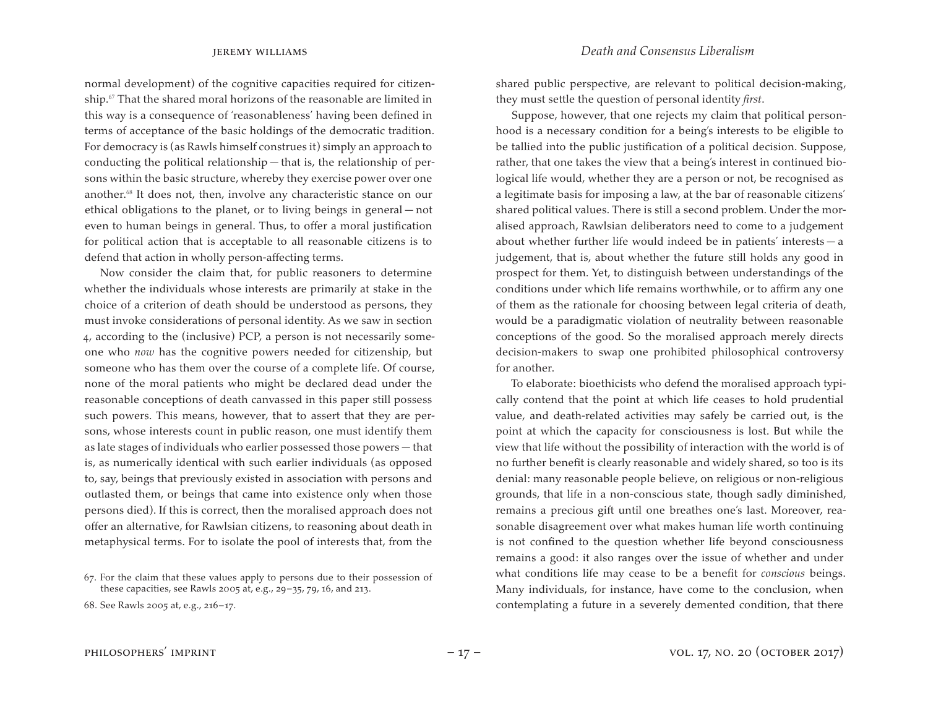normal development) of the cognitive capacities required for citizenship.<sup>67</sup> That the shared moral horizons of the reasonable are limited in this way is a consequence of 'reasonableness' having been defined in terms of acceptance of the basic holdings of the democratic tradition. For democracy is (as Rawls himself construes it) simply an approach to conducting the political relationship — that is, the relationship of persons within the basic structure, whereby they exercise power over one another.<sup>68</sup> It does not, then, involve any characteristic stance on our ethical obligations to the planet, or to living beings in general — not even to human beings in general. Thus, to offer a moral justification for political action that is acceptable to all reasonable citizens is to defend that action in wholly person-affecting terms.

Now consider the claim that, for public reasoners to determine whether the individuals whose interests are primarily at stake in the choice of a criterion of death should be understood as persons, they must invoke considerations of personal identity. As we saw in section 4, according to the (inclusive) PCP, a person is not necessarily someone who *now* has the cognitive powers needed for citizenship, but someone who has them over the course of a complete life. Of course, none of the moral patients who might be declared dead under the reasonable conceptions of death canvassed in this paper still possess such powers. This means, however, that to assert that they are persons, whose interests count in public reason, one must identify them as late stages of individuals who earlier possessed those powers — that is, as numerically identical with such earlier individuals (as opposed to, say, beings that previously existed in association with persons and outlasted them, or beings that came into existence only when those persons died). If this is correct, then the moralised approach does not offer an alternative, for Rawlsian citizens, to reasoning about death in metaphysical terms. For to isolate the pool of interests that, from the

shared public perspective, are relevant to political decision-making, they must settle the question of personal identity *first*.

Suppose, however, that one rejects my claim that political personhood is a necessary condition for a being's interests to be eligible to be tallied into the public justification of a political decision. Suppose, rather, that one takes the view that a being's interest in continued biological life would, whether they are a person or not, be recognised as a legitimate basis for imposing a law, at the bar of reasonable citizens' shared political values. There is still a second problem. Under the moralised approach, Rawlsian deliberators need to come to a judgement about whether further life would indeed be in patients' interests — a judgement, that is, about whether the future still holds any good in prospect for them. Yet, to distinguish between understandings of the conditions under which life remains worthwhile, or to affirm any one of them as the rationale for choosing between legal criteria of death, would be a paradigmatic violation of neutrality between reasonable conceptions of the good. So the moralised approach merely directs decision-makers to swap one prohibited philosophical controversy for another.

To elaborate: bioethicists who defend the moralised approach typically contend that the point at which life ceases to hold prudential value, and death-related activities may safely be carried out, is the point at which the capacity for consciousness is lost. But while the view that life without the possibility of interaction with the world is of no further benefit is clearly reasonable and widely shared, so too is its denial: many reasonable people believe, on religious or non-religious grounds, that life in a non-conscious state, though sadly diminished, remains a precious gift until one breathes one's last. Moreover, reasonable disagreement over what makes human life worth continuing is not confined to the question whether life beyond consciousness remains a good: it also ranges over the issue of whether and under what conditions life may cease to be a benefit for *conscious* beings. Many individuals, for instance, have come to the conclusion, when contemplating a future in a severely demented condition, that there

<sup>67.</sup> For the claim that these values apply to persons due to their possession of these capacities, see Rawls 2005 at, e.g., 29–35, 79, 16, and 213.

<sup>68.</sup> See Rawls 2005 at, e.g., 216–17.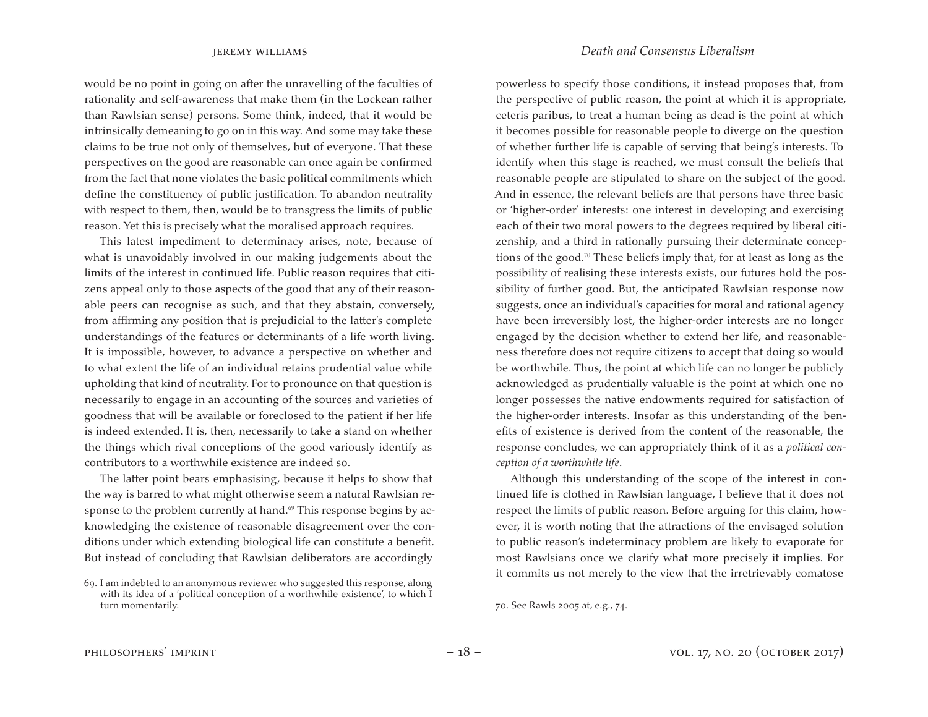would be no point in going on after the unravelling of the faculties of rationality and self-awareness that make them (in the Lockean rather than Rawlsian sense) persons. Some think, indeed, that it would be intrinsically demeaning to go on in this way. And some may take these claims to be true not only of themselves, but of everyone. That these perspectives on the good are reasonable can once again be confirmed from the fact that none violates the basic political commitments which define the constituency of public justification. To abandon neutrality with respect to them, then, would be to transgress the limits of public reason. Yet this is precisely what the moralised approach requires.

This latest impediment to determinacy arises, note, because of what is unavoidably involved in our making judgements about the limits of the interest in continued life. Public reason requires that citizens appeal only to those aspects of the good that any of their reasonable peers can recognise as such, and that they abstain, conversely, from affirming any position that is prejudicial to the latter's complete understandings of the features or determinants of a life worth living. It is impossible, however, to advance a perspective on whether and to what extent the life of an individual retains prudential value while upholding that kind of neutrality. For to pronounce on that question is necessarily to engage in an accounting of the sources and varieties of goodness that will be available or foreclosed to the patient if her life is indeed extended. It is, then, necessarily to take a stand on whether the things which rival conceptions of the good variously identify as contributors to a worthwhile existence are indeed so.

The latter point bears emphasising, because it helps to show that the way is barred to what might otherwise seem a natural Rawlsian response to the problem currently at hand.<sup>69</sup> This response begins by acknowledging the existence of reasonable disagreement over the conditions under which extending biological life can constitute a benefit. But instead of concluding that Rawlsian deliberators are accordingly

### jeremy williams *Death and Consensus Liberalism*

powerless to specify those conditions, it instead proposes that, from the perspective of public reason, the point at which it is appropriate, ceteris paribus, to treat a human being as dead is the point at which it becomes possible for reasonable people to diverge on the question of whether further life is capable of serving that being's interests. To identify when this stage is reached, we must consult the beliefs that reasonable people are stipulated to share on the subject of the good. And in essence, the relevant beliefs are that persons have three basic or 'higher-order' interests: one interest in developing and exercising each of their two moral powers to the degrees required by liberal citizenship, and a third in rationally pursuing their determinate conceptions of the good.<sup>70</sup> These beliefs imply that, for at least as long as the possibility of realising these interests exists, our futures hold the possibility of further good. But, the anticipated Rawlsian response now suggests, once an individual's capacities for moral and rational agency have been irreversibly lost, the higher-order interests are no longer engaged by the decision whether to extend her life, and reasonableness therefore does not require citizens to accept that doing so would be worthwhile. Thus, the point at which life can no longer be publicly acknowledged as prudentially valuable is the point at which one no longer possesses the native endowments required for satisfaction of the higher-order interests. Insofar as this understanding of the benefits of existence is derived from the content of the reasonable, the response concludes, we can appropriately think of it as a *political conception of a worthwhile life*.

Although this understanding of the scope of the interest in continued life is clothed in Rawlsian language, I believe that it does not respect the limits of public reason. Before arguing for this claim, however, it is worth noting that the attractions of the envisaged solution to public reason's indeterminacy problem are likely to evaporate for most Rawlsians once we clarify what more precisely it implies. For it commits us not merely to the view that the irretrievably comatose

<sup>69.</sup> I am indebted to an anonymous reviewer who suggested this response, along with its idea of a 'political conception of a worthwhile existence', to which I turn momentarily.

<sup>70.</sup> See Rawls 2005 at, e.g., 74.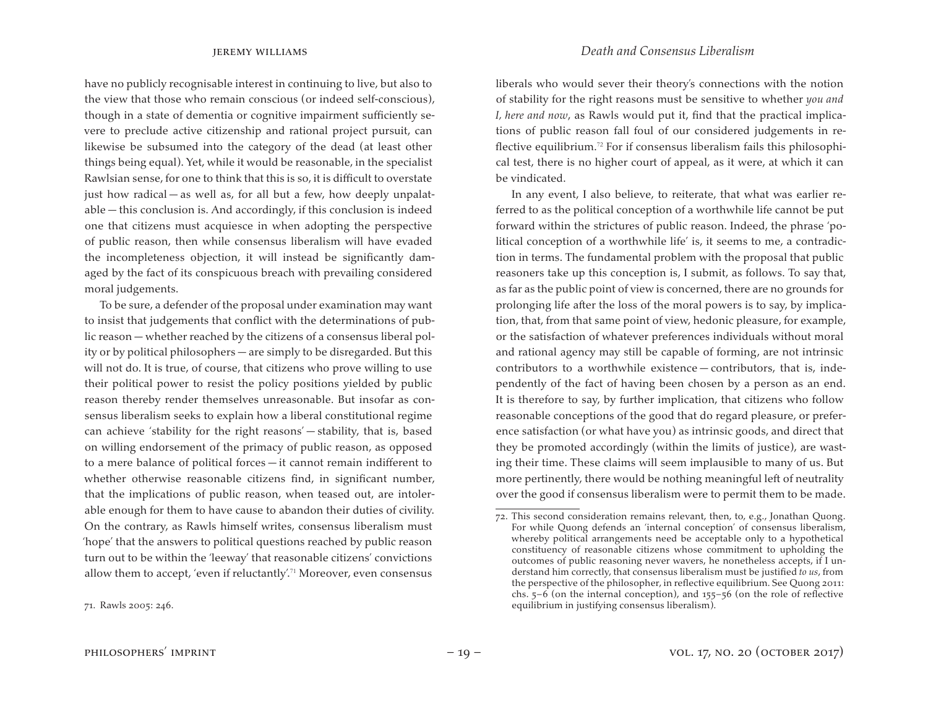have no publicly recognisable interest in continuing to live, but also to the view that those who remain conscious (or indeed self-conscious), though in a state of dementia or cognitive impairment sufficiently severe to preclude active citizenship and rational project pursuit, can likewise be subsumed into the category of the dead (at least other things being equal). Yet, while it would be reasonable, in the specialist Rawlsian sense, for one to think that this is so, it is difficult to overstate just how radical — as well as, for all but a few, how deeply unpalatable — this conclusion is. And accordingly, if this conclusion is indeed one that citizens must acquiesce in when adopting the perspective of public reason, then while consensus liberalism will have evaded the incompleteness objection, it will instead be significantly damaged by the fact of its conspicuous breach with prevailing considered moral judgements.

To be sure, a defender of the proposal under examination may want to insist that judgements that conflict with the determinations of public reason — whether reached by the citizens of a consensus liberal polity or by political philosophers — are simply to be disregarded. But this will not do. It is true, of course, that citizens who prove willing to use their political power to resist the policy positions yielded by public reason thereby render themselves unreasonable. But insofar as consensus liberalism seeks to explain how a liberal constitutional regime can achieve 'stability for the right reasons' — stability, that is, based on willing endorsement of the primacy of public reason, as opposed to a mere balance of political forces — it cannot remain indifferent to whether otherwise reasonable citizens find, in significant number, that the implications of public reason, when teased out, are intolerable enough for them to have cause to abandon their duties of civility. On the contrary, as Rawls himself writes, consensus liberalism must 'hope' that the answers to political questions reached by public reason turn out to be within the 'leeway' that reasonable citizens' convictions allow them to accept, 'even if reluctantly'.<sup>71</sup> Moreover, even consensus

liberals who would sever their theory's connections with the notion of stability for the right reasons must be sensitive to whether *you and I, here and now*, as Rawls would put it, find that the practical implications of public reason fall foul of our considered judgements in reflective equilibrium.<sup>72</sup> For if consensus liberalism fails this philosophical test, there is no higher court of appeal, as it were, at which it can be vindicated.

In any event, I also believe, to reiterate, that what was earlier referred to as the political conception of a worthwhile life cannot be put forward within the strictures of public reason. Indeed, the phrase 'political conception of a worthwhile life' is, it seems to me, a contradiction in terms. The fundamental problem with the proposal that public reasoners take up this conception is, I submit, as follows. To say that, as far as the public point of view is concerned, there are no grounds for prolonging life after the loss of the moral powers is to say, by implication, that, from that same point of view, hedonic pleasure, for example, or the satisfaction of whatever preferences individuals without moral and rational agency may still be capable of forming, are not intrinsic contributors to a worthwhile existence — contributors, that is, independently of the fact of having been chosen by a person as an end. It is therefore to say, by further implication, that citizens who follow reasonable conceptions of the good that do regard pleasure, or preference satisfaction (or what have you) as intrinsic goods, and direct that they be promoted accordingly (within the limits of justice), are wasting their time. These claims will seem implausible to many of us. But more pertinently, there would be nothing meaningful left of neutrality over the good if consensus liberalism were to permit them to be made.

<sup>71.</sup> Rawls 2005: 246.

 $72$ . This second consideration remains relevant, then, to, e.g., Jonathan Quong. For while Quong defends an 'internal conception' of consensus liberalism, whereby political arrangements need be acceptable only to a hypothetical constituency of reasonable citizens whose commitment to upholding the outcomes of public reasoning never wavers, he nonetheless accepts, if I understand him correctly, that consensus liberalism must be justified *to us*, from the perspective of the philosopher, in reflective equilibrium. See Quong 2011: chs. 5–6 (on the internal conception), and 155–56 (on the role of reflective equilibrium in justifying consensus liberalism).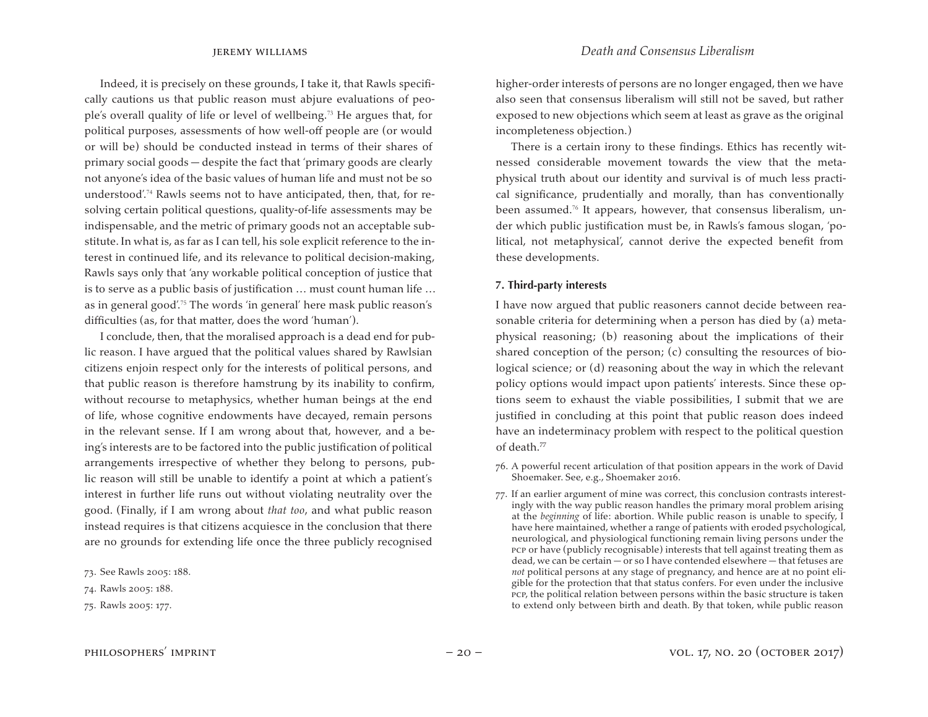Indeed, it is precisely on these grounds, I take it, that Rawls specifically cautions us that public reason must abjure evaluations of people's overall quality of life or level of wellbeing.<sup>73</sup> He argues that, for political purposes, assessments of how well-off people are (or would or will be) should be conducted instead in terms of their shares of primary social goods — despite the fact that 'primary goods are clearly not anyone's idea of the basic values of human life and must not be so understood'.<sup>74</sup> Rawls seems not to have anticipated, then, that, for resolving certain political questions, quality-of-life assessments may be indispensable, and the metric of primary goods not an acceptable substitute. In what is, as far as I can tell, his sole explicit reference to the interest in continued life, and its relevance to political decision-making, Rawls says only that 'any workable political conception of justice that is to serve as a public basis of justification … must count human life … as in general good'.<sup>75</sup> The words 'in general' here mask public reason's difficulties (as, for that matter, does the word 'human').

I conclude, then, that the moralised approach is a dead end for public reason. I have argued that the political values shared by Rawlsian citizens enjoin respect only for the interests of political persons, and that public reason is therefore hamstrung by its inability to confirm, without recourse to metaphysics, whether human beings at the end of life, whose cognitive endowments have decayed, remain persons in the relevant sense. If I am wrong about that, however, and a being's interests are to be factored into the public justification of political arrangements irrespective of whether they belong to persons, public reason will still be unable to identify a point at which a patient's interest in further life runs out without violating neutrality over the good. (Finally, if I am wrong about *that too*, and what public reason instead requires is that citizens acquiesce in the conclusion that there are no grounds for extending life once the three publicly recognised

higher-order interests of persons are no longer engaged, then we have also seen that consensus liberalism will still not be saved, but rather exposed to new objections which seem at least as grave as the original incompleteness objection.)

There is a certain irony to these findings. Ethics has recently witnessed considerable movement towards the view that the metaphysical truth about our identity and survival is of much less practical significance, prudentially and morally, than has conventionally been assumed.<sup>76</sup> It appears, however, that consensus liberalism, under which public justification must be, in Rawls's famous slogan, 'political, not metaphysical', cannot derive the expected benefit from these developments.

### **7. Third-party interests**

I have now argued that public reasoners cannot decide between reasonable criteria for determining when a person has died by (a) metaphysical reasoning; (b) reasoning about the implications of their shared conception of the person; (c) consulting the resources of biological science; or (d) reasoning about the way in which the relevant policy options would impact upon patients' interests. Since these options seem to exhaust the viable possibilities, I submit that we are justified in concluding at this point that public reason does indeed have an indeterminacy problem with respect to the political question of death.<sup>77</sup>

- 76. A powerful recent articulation of that position appears in the work of David Shoemaker. See, e.g., Shoemaker 2016.
- 77. If an earlier argument of mine was correct, this conclusion contrasts interestingly with the way public reason handles the primary moral problem arising at the *beginning* of life: abortion. While public reason is unable to specify, I have here maintained, whether a range of patients with eroded psychological, neurological, and physiological functioning remain living persons under the pcp or have (publicly recognisable) interests that tell against treating them as dead, we can be certain — or so I have contended elsewhere — that fetuses are *not* political persons at any stage of pregnancy, and hence are at no point eligible for the protection that that status confers. For even under the inclusive pcp, the political relation between persons within the basic structure is taken to extend only between birth and death. By that token, while public reason

<sup>73.</sup> See Rawls 2005: 188.

<sup>74.</sup> Rawls 2005: 188.

<sup>75.</sup> Rawls 2005: 177.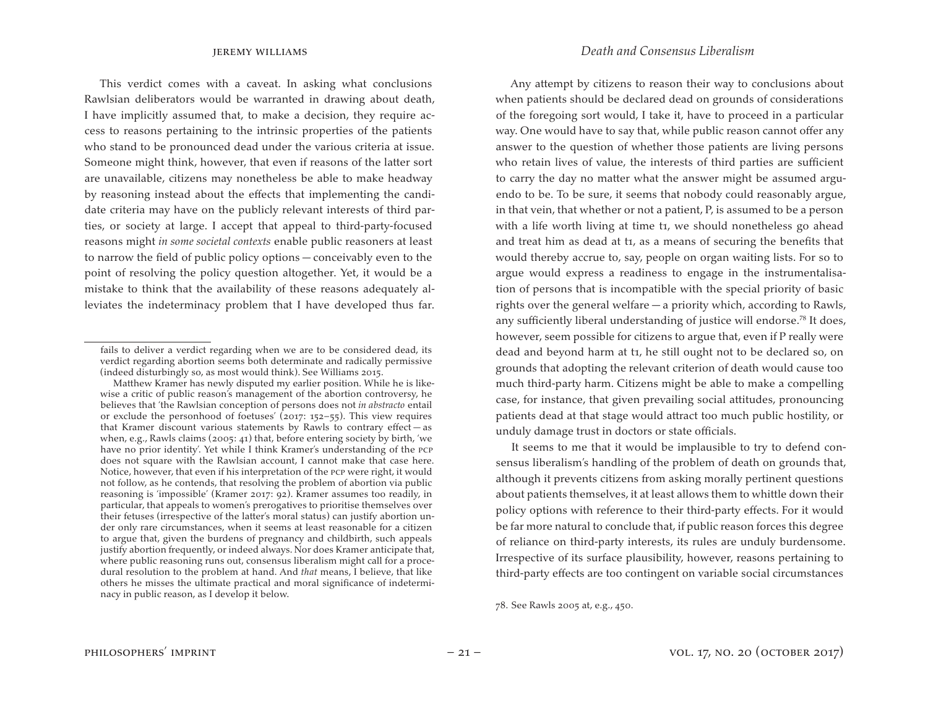This verdict comes with a caveat. In asking what conclusions Rawlsian deliberators would be warranted in drawing about death, I have implicitly assumed that, to make a decision, they require access to reasons pertaining to the intrinsic properties of the patients who stand to be pronounced dead under the various criteria at issue. Someone might think, however, that even if reasons of the latter sort are unavailable, citizens may nonetheless be able to make headway by reasoning instead about the effects that implementing the candidate criteria may have on the publicly relevant interests of third parties, or society at large. I accept that appeal to third-party-focused reasons might *in some societal contexts* enable public reasoners at least to narrow the field of public policy options — conceivably even to the point of resolving the policy question altogether. Yet, it would be a mistake to think that the availability of these reasons adequately alleviates the indeterminacy problem that I have developed thus far.

 Matthew Kramer has newly disputed my earlier position. While he is likewise a critic of public reason's management of the abortion controversy, he believes that 'the Rawlsian conception of persons does not *in abstracto* entail or exclude the personhood of foetuses' (2017: 152–55). This view requires that Kramer discount various statements by Rawls to contrary effect — as when, e.g., Rawls claims (2005: 41) that, before entering society by birth, 'we have no prior identity'. Yet while I think Kramer's understanding of the pcp does not square with the Rawlsian account, I cannot make that case here. Notice, however, that even if his interpretation of the pcp were right, it would not follow, as he contends, that resolving the problem of abortion via public reasoning is 'impossible' (Kramer 2017: 92). Kramer assumes too readily, in particular, that appeals to women's prerogatives to prioritise themselves over their fetuses (irrespective of the latter's moral status) can justify abortion under only rare circumstances, when it seems at least reasonable for a citizen to argue that, given the burdens of pregnancy and childbirth, such appeals justify abortion frequently, or indeed always. Nor does Kramer anticipate that, where public reasoning runs out, consensus liberalism might call for a procedural resolution to the problem at hand. And *that* means, I believe, that like others he misses the ultimate practical and moral significance of indeterminacy in public reason, as I develop it below.

Any attempt by citizens to reason their way to conclusions about when patients should be declared dead on grounds of considerations of the foregoing sort would, I take it, have to proceed in a particular way. One would have to say that, while public reason cannot offer any answer to the question of whether those patients are living persons who retain lives of value, the interests of third parties are sufficient to carry the day no matter what the answer might be assumed arguendo to be. To be sure, it seems that nobody could reasonably argue, in that vein, that whether or not a patient, P, is assumed to be a person with a life worth living at time t1, we should nonetheless go ahead and treat him as dead at t1, as a means of securing the benefits that would thereby accrue to, say, people on organ waiting lists. For so to argue would express a readiness to engage in the instrumentalisation of persons that is incompatible with the special priority of basic rights over the general welfare — a priority which, according to Rawls, any sufficiently liberal understanding of justice will endorse.<sup>78</sup> It does, however, seem possible for citizens to argue that, even if P really were dead and beyond harm at t1, he still ought not to be declared so, on grounds that adopting the relevant criterion of death would cause too much third-party harm. Citizens might be able to make a compelling case, for instance, that given prevailing social attitudes, pronouncing patients dead at that stage would attract too much public hostility, or unduly damage trust in doctors or state officials.

It seems to me that it would be implausible to try to defend consensus liberalism's handling of the problem of death on grounds that, although it prevents citizens from asking morally pertinent questions about patients themselves, it at least allows them to whittle down their policy options with reference to their third-party effects. For it would be far more natural to conclude that, if public reason forces this degree of reliance on third-party interests, its rules are unduly burdensome. Irrespective of its surface plausibility, however, reasons pertaining to third-party effects are too contingent on variable social circumstances

fails to deliver a verdict regarding when we are to be considered dead, its verdict regarding abortion seems both determinate and radically permissive (indeed disturbingly so, as most would think). See Williams 2015.

<sup>78.</sup> See Rawls 2005 at, e.g., 450.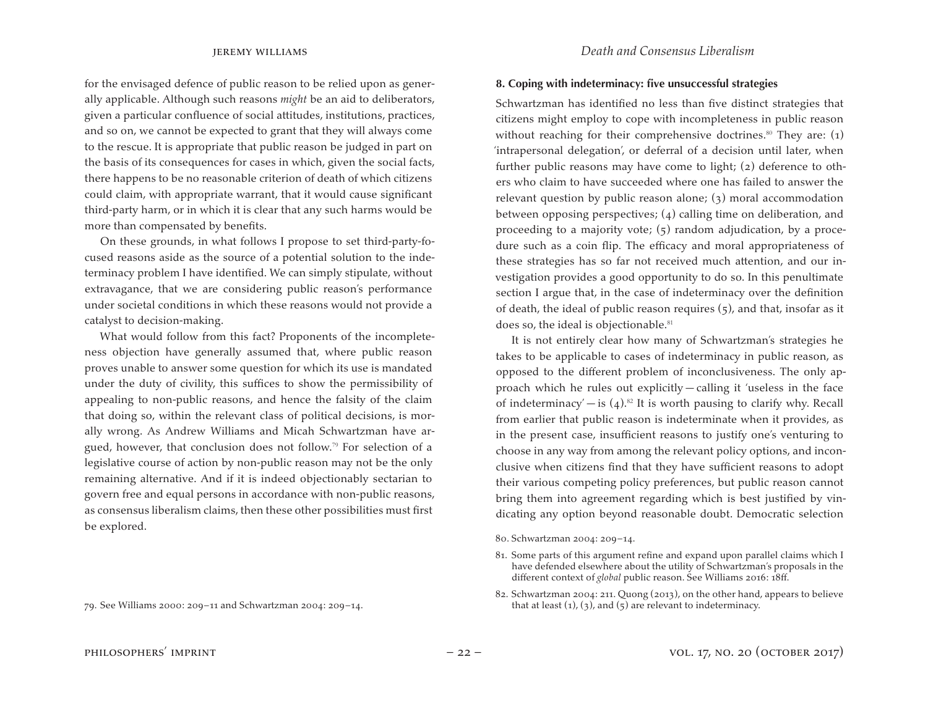for the envisaged defence of public reason to be relied upon as generally applicable. Although such reasons *might* be an aid to deliberators, given a particular confluence of social attitudes, institutions, practices, and so on, we cannot be expected to grant that they will always come to the rescue. It is appropriate that public reason be judged in part on the basis of its consequences for cases in which, given the social facts, there happens to be no reasonable criterion of death of which citizens could claim, with appropriate warrant, that it would cause significant third-party harm, or in which it is clear that any such harms would be more than compensated by benefits.

On these grounds, in what follows I propose to set third-party-focused reasons aside as the source of a potential solution to the indeterminacy problem I have identified. We can simply stipulate, without extravagance, that we are considering public reason's performance under societal conditions in which these reasons would not provide a catalyst to decision-making.

What would follow from this fact? Proponents of the incompleteness objection have generally assumed that, where public reason proves unable to answer some question for which its use is mandated under the duty of civility, this suffices to show the permissibility of appealing to non-public reasons, and hence the falsity of the claim that doing so, within the relevant class of political decisions, is morally wrong. As Andrew Williams and Micah Schwartzman have argued, however, that conclusion does not follow.<sup>79</sup> For selection of a legislative course of action by non-public reason may not be the only remaining alternative. And if it is indeed objectionably sectarian to govern free and equal persons in accordance with non-public reasons, as consensus liberalism claims, then these other possibilities must first be explored.

79. See Williams 2000: 209–11 and Schwartzman 2004: 209–14.

### **8. Coping with indeterminacy: five unsuccessful strategies**

Schwartzman has identified no less than five distinct strategies that citizens might employ to cope with incompleteness in public reason without reaching for their comprehensive doctrines.<sup>80</sup> They are:  $(1)$ 'intrapersonal delegation', or deferral of a decision until later, when further public reasons may have come to light; (2) deference to others who claim to have succeeded where one has failed to answer the relevant question by public reason alone; (3) moral accommodation between opposing perspectives; (4) calling time on deliberation, and proceeding to a majority vote; (5) random adjudication, by a procedure such as a coin flip. The efficacy and moral appropriateness of these strategies has so far not received much attention, and our investigation provides a good opportunity to do so. In this penultimate section I argue that, in the case of indeterminacy over the definition of death, the ideal of public reason requires (5), and that, insofar as it does so, the ideal is objectionable.<sup>81</sup>

It is not entirely clear how many of Schwartzman's strategies he takes to be applicable to cases of indeterminacy in public reason, as opposed to the different problem of inconclusiveness. The only approach which he rules out explicitly — calling it 'useless in the face of indeterminacy' — is  $(4)$ .<sup>82</sup> It is worth pausing to clarify why. Recall from earlier that public reason is indeterminate when it provides, as in the present case, insufficient reasons to justify one's venturing to choose in any way from among the relevant policy options, and inconclusive when citizens find that they have sufficient reasons to adopt their various competing policy preferences, but public reason cannot bring them into agreement regarding which is best justified by vindicating any option beyond reasonable doubt. Democratic selection

80. Schwartzman 2004: 209-14.

82. Schwartzman 2004: 211. Quong (2013), on the other hand, appears to believe that at least  $(1)$ ,  $(3)$ , and  $(5)$  are relevant to indeterminacy.

<sup>81.</sup> Some parts of this argument refine and expand upon parallel claims which I have defended elsewhere about the utility of Schwartzman's proposals in the different context of *global* public reason. See Williams 2016: 18ff.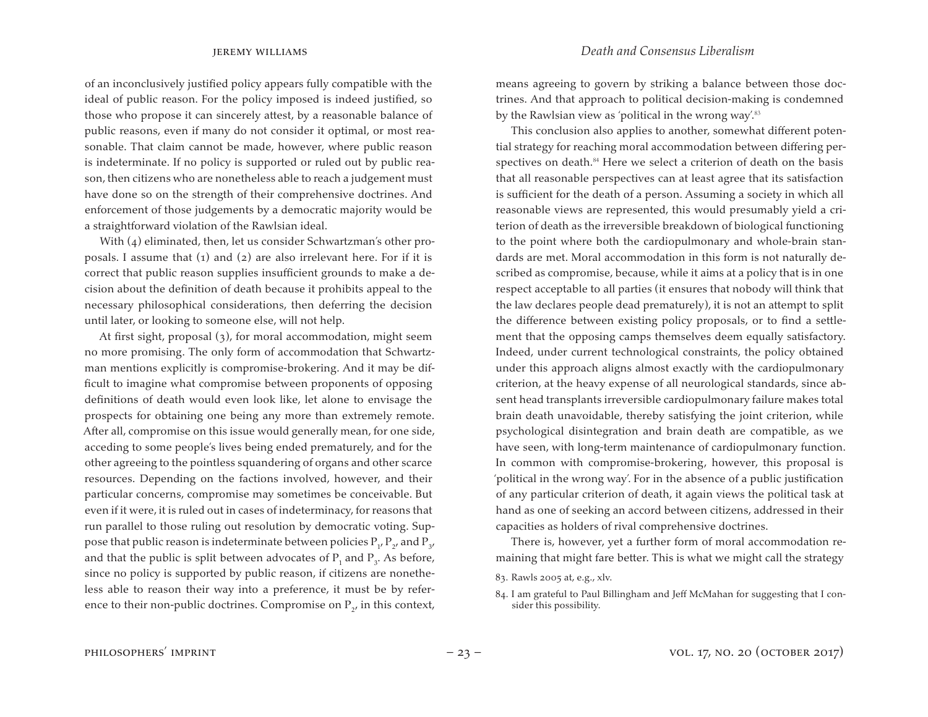of an inconclusively justified policy appears fully compatible with the ideal of public reason. For the policy imposed is indeed justified, so those who propose it can sincerely attest, by a reasonable balance of public reasons, even if many do not consider it optimal, or most reasonable. That claim cannot be made, however, where public reason is indeterminate. If no policy is supported or ruled out by public reason, then citizens who are nonetheless able to reach a judgement must have done so on the strength of their comprehensive doctrines. And enforcement of those judgements by a democratic majority would be a straightforward violation of the Rawlsian ideal.

With (4) eliminated, then, let us consider Schwartzman's other proposals. I assume that  $(i)$  and  $(2)$  are also irrelevant here. For if it is correct that public reason supplies insufficient grounds to make a decision about the definition of death because it prohibits appeal to the necessary philosophical considerations, then deferring the decision until later, or looking to someone else, will not help.

At first sight, proposal (3), for moral accommodation, might seem no more promising. The only form of accommodation that Schwartzman mentions explicitly is compromise-brokering. And it may be difficult to imagine what compromise between proponents of opposing definitions of death would even look like, let alone to envisage the prospects for obtaining one being any more than extremely remote. After all, compromise on this issue would generally mean, for one side, acceding to some people's lives being ended prematurely, and for the other agreeing to the pointless squandering of organs and other scarce resources. Depending on the factions involved, however, and their particular concerns, compromise may sometimes be conceivable. But even if it were, it is ruled out in cases of indeterminacy, for reasons that run parallel to those ruling out resolution by democratic voting. Suppose that public reason is indeterminate between policies  $\mathrm{P_{1^\prime}}\,\mathrm{P_{2^\prime}}$  and  $\mathrm{P_{3^\prime}}$ and that the public is split between advocates of  $P_1$  and  $P_3$ . As before, since no policy is supported by public reason, if citizens are nonetheless able to reason their way into a preference, it must be by reference to their non-public doctrines. Compromise on  $P_{2'}$  in this context,

means agreeing to govern by striking a balance between those doctrines. And that approach to political decision-making is condemned by the Rawlsian view as 'political in the wrong way'.<sup>83</sup>

This conclusion also applies to another, somewhat different potential strategy for reaching moral accommodation between differing perspectives on death.<sup>84</sup> Here we select a criterion of death on the basis that all reasonable perspectives can at least agree that its satisfaction is sufficient for the death of a person. Assuming a society in which all reasonable views are represented, this would presumably yield a criterion of death as the irreversible breakdown of biological functioning to the point where both the cardiopulmonary and whole-brain standards are met. Moral accommodation in this form is not naturally described as compromise, because, while it aims at a policy that is in one respect acceptable to all parties (it ensures that nobody will think that the law declares people dead prematurely), it is not an attempt to split the difference between existing policy proposals, or to find a settlement that the opposing camps themselves deem equally satisfactory. Indeed, under current technological constraints, the policy obtained under this approach aligns almost exactly with the cardiopulmonary criterion, at the heavy expense of all neurological standards, since absent head transplants irreversible cardiopulmonary failure makes total brain death unavoidable, thereby satisfying the joint criterion, while psychological disintegration and brain death are compatible, as we have seen, with long-term maintenance of cardiopulmonary function. In common with compromise-brokering, however, this proposal is 'political in the wrong way'. For in the absence of a public justification of any particular criterion of death, it again views the political task at hand as one of seeking an accord between citizens, addressed in their capacities as holders of rival comprehensive doctrines.

There is, however, yet a further form of moral accommodation remaining that might fare better. This is what we might call the strategy

83. Rawls 2005 at, e.g., xlv.

<sup>84.</sup> I am grateful to Paul Billingham and Jeff McMahan for suggesting that I consider this possibility.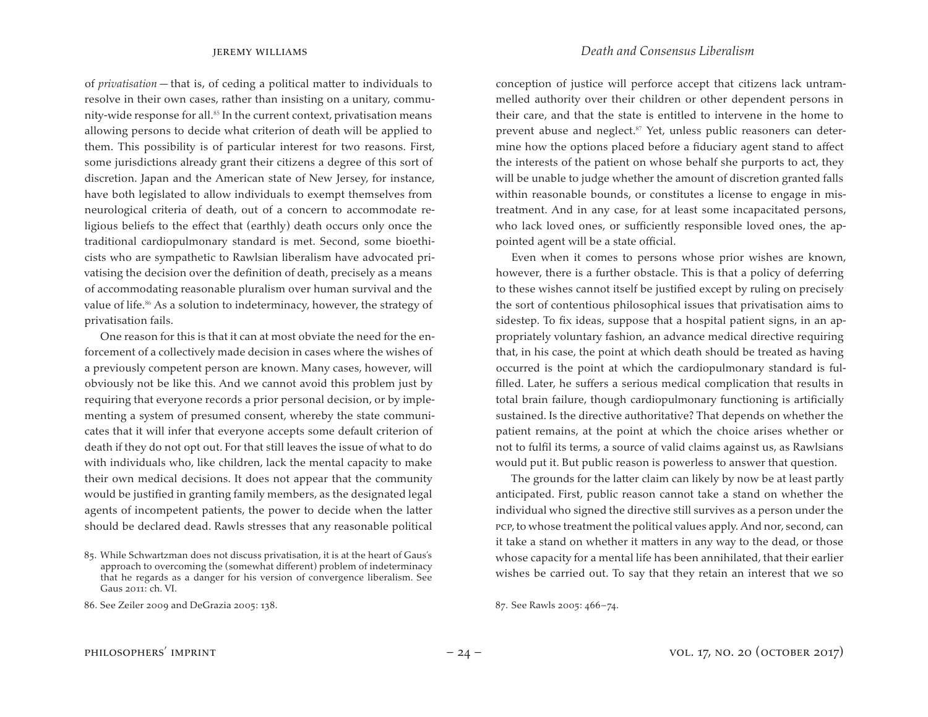jeremy williams *Death and Consensus Liberalism*

of *privatisation* — that is, of ceding a political matter to individuals to resolve in their own cases, rather than insisting on a unitary, community-wide response for all.<sup>85</sup> In the current context, privatisation means allowing persons to decide what criterion of death will be applied to them. This possibility is of particular interest for two reasons. First, some jurisdictions already grant their citizens a degree of this sort of discretion. Japan and the American state of New Jersey, for instance, have both legislated to allow individuals to exempt themselves from neurological criteria of death, out of a concern to accommodate religious beliefs to the effect that (earthly) death occurs only once the traditional cardiopulmonary standard is met. Second, some bioethicists who are sympathetic to Rawlsian liberalism have advocated privatising the decision over the definition of death, precisely as a means of accommodating reasonable pluralism over human survival and the value of life.<sup>86</sup> As a solution to indeterminacy, however, the strategy of privatisation fails.

One reason for this is that it can at most obviate the need for the enforcement of a collectively made decision in cases where the wishes of a previously competent person are known. Many cases, however, will obviously not be like this. And we cannot avoid this problem just by requiring that everyone records a prior personal decision, or by implementing a system of presumed consent, whereby the state communicates that it will infer that everyone accepts some default criterion of death if they do not opt out. For that still leaves the issue of what to do with individuals who, like children, lack the mental capacity to make their own medical decisions. It does not appear that the community would be justified in granting family members, as the designated legal agents of incompetent patients, the power to decide when the latter should be declared dead. Rawls stresses that any reasonable political

conception of justice will perforce accept that citizens lack untrammelled authority over their children or other dependent persons in their care, and that the state is entitled to intervene in the home to prevent abuse and neglect. $87$  Yet, unless public reasoners can determine how the options placed before a fiduciary agent stand to affect the interests of the patient on whose behalf she purports to act, they will be unable to judge whether the amount of discretion granted falls within reasonable bounds, or constitutes a license to engage in mistreatment. And in any case, for at least some incapacitated persons, who lack loved ones, or sufficiently responsible loved ones, the appointed agent will be a state official.

Even when it comes to persons whose prior wishes are known, however, there is a further obstacle. This is that a policy of deferring to these wishes cannot itself be justified except by ruling on precisely the sort of contentious philosophical issues that privatisation aims to sidestep. To fix ideas, suppose that a hospital patient signs, in an appropriately voluntary fashion, an advance medical directive requiring that, in his case, the point at which death should be treated as having occurred is the point at which the cardiopulmonary standard is fulfilled. Later, he suffers a serious medical complication that results in total brain failure, though cardiopulmonary functioning is artificially sustained. Is the directive authoritative? That depends on whether the patient remains, at the point at which the choice arises whether or not to fulfil its terms, a source of valid claims against us, as Rawlsians would put it. But public reason is powerless to answer that question.

The grounds for the latter claim can likely by now be at least partly anticipated. First, public reason cannot take a stand on whether the individual who signed the directive still survives as a person under the pcp,to whose treatment the political values apply. And nor, second, can it take a stand on whether it matters in any way to the dead, or those whose capacity for a mental life has been annihilated, that their earlier wishes be carried out. To say that they retain an interest that we so

87. See Rawls 2005: 466-74.

<sup>85.</sup> While Schwartzman does not discuss privatisation, it is at the heart of Gaus's approach to overcoming the (somewhat different) problem of indeterminacy that he regards as a danger for his version of convergence liberalism. See Gaus 2011: ch. VI.

<sup>86.</sup> See Zeiler 2009 and DeGrazia 2005: 138.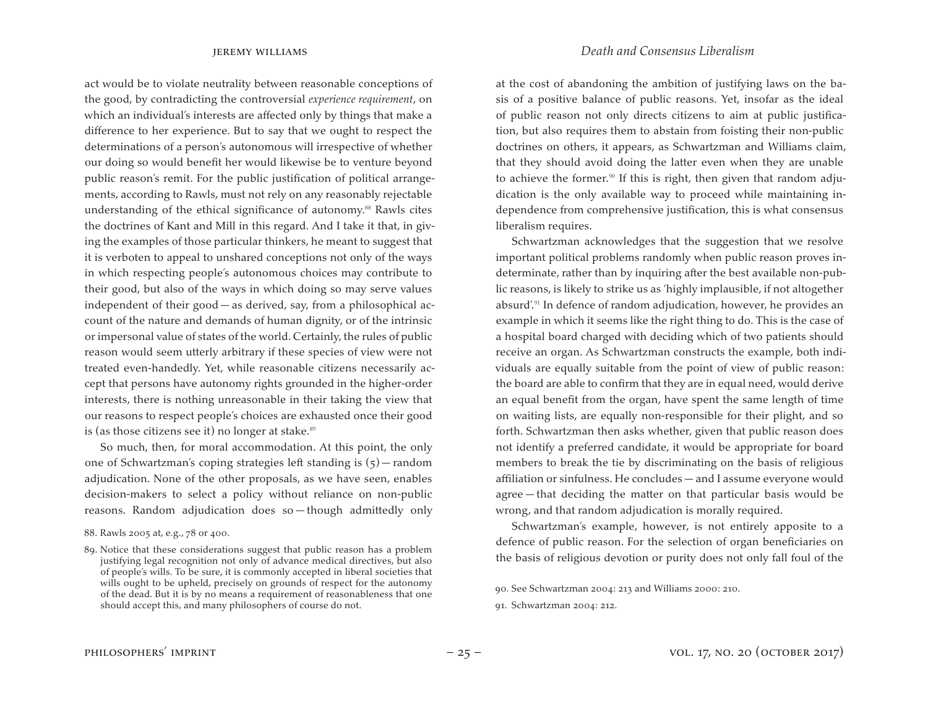jeremy williams *Death and Consensus Liberalism*

act would be to violate neutrality between reasonable conceptions of the good, by contradicting the controversial *experience requirement*, on which an individual's interests are affected only by things that make a difference to her experience. But to say that we ought to respect the determinations of a person's autonomous will irrespective of whether our doing so would benefit her would likewise be to venture beyond public reason's remit. For the public justification of political arrangements, according to Rawls, must not rely on any reasonably rejectable understanding of the ethical significance of autonomy.<sup>88</sup> Rawls cites the doctrines of Kant and Mill in this regard. And I take it that, in giving the examples of those particular thinkers, he meant to suggest that it is verboten to appeal to unshared conceptions not only of the ways in which respecting people's autonomous choices may contribute to their good, but also of the ways in which doing so may serve values independent of their good — as derived, say, from a philosophical account of the nature and demands of human dignity, or of the intrinsic or impersonal value of states of the world. Certainly, the rules of public reason would seem utterly arbitrary if these species of view were not treated even-handedly. Yet, while reasonable citizens necessarily accept that persons have autonomy rights grounded in the higher-order interests, there is nothing unreasonable in their taking the view that our reasons to respect people's choices are exhausted once their good is (as those citizens see it) no longer at stake. $89$ 

So much, then, for moral accommodation. At this point, the only one of Schwartzman's coping strategies left standing is (5) — random adjudication. None of the other proposals, as we have seen, enables decision-makers to select a policy without reliance on non-public reasons. Random adjudication does so — though admittedly only at the cost of abandoning the ambition of justifying laws on the basis of a positive balance of public reasons. Yet, insofar as the ideal of public reason not only directs citizens to aim at public justification, but also requires them to abstain from foisting their non-public doctrines on others, it appears, as Schwartzman and Williams claim, that they should avoid doing the latter even when they are unable to achieve the former.<sup>90</sup> If this is right, then given that random adjudication is the only available way to proceed while maintaining independence from comprehensive justification, this is what consensus liberalism requires.

Schwartzman acknowledges that the suggestion that we resolve important political problems randomly when public reason proves indeterminate, rather than by inquiring after the best available non-public reasons, is likely to strike us as 'highly implausible, if not altogether absurd'.<sup>91</sup> In defence of random adjudication, however, he provides an example in which it seems like the right thing to do. This is the case of a hospital board charged with deciding which of two patients should receive an organ. As Schwartzman constructs the example, both individuals are equally suitable from the point of view of public reason: the board are able to confirm that they are in equal need, would derive an equal benefit from the organ, have spent the same length of time on waiting lists, are equally non-responsible for their plight, and so forth. Schwartzman then asks whether, given that public reason does not identify a preferred candidate, it would be appropriate for board members to break the tie by discriminating on the basis of religious affiliation or sinfulness. He concludes — and I assume everyone would agree — that deciding the matter on that particular basis would be wrong, and that random adjudication is morally required.

Schwartzman's example, however, is not entirely apposite to a defence of public reason. For the selection of organ beneficiaries on the basis of religious devotion or purity does not only fall foul of the

<sup>88.</sup> Rawls 2005 at, e.g., 78 or 400.

<sup>89.</sup> Notice that these considerations suggest that public reason has a problem justifying legal recognition not only of advance medical directives, but also of people's wills. To be sure, it is commonly accepted in liberal societies that wills ought to be upheld, precisely on grounds of respect for the autonomy of the dead. But it is by no means a requirement of reasonableness that one should accept this, and many philosophers of course do not.

<sup>90.</sup> See Schwartzman 2004: 213 and Williams 2000: 210.

<sup>91.</sup> Schwartzman 2004: 212.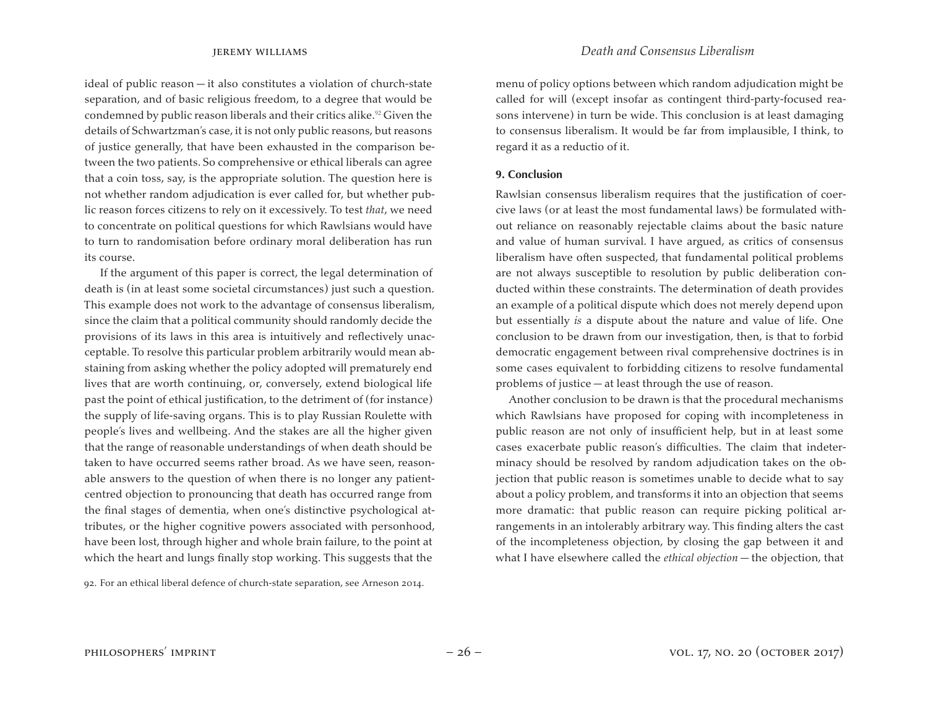ideal of public reason — it also constitutes a violation of church-state separation, and of basic religious freedom, to a degree that would be condemned by public reason liberals and their critics alike.<sup>92</sup> Given the details of Schwartzman's case, it is not only public reasons, but reasons of justice generally, that have been exhausted in the comparison between the two patients. So comprehensive or ethical liberals can agree that a coin toss, say, is the appropriate solution. The question here is not whether random adjudication is ever called for, but whether public reason forces citizens to rely on it excessively. To test *that*, we need to concentrate on political questions for which Rawlsians would have to turn to randomisation before ordinary moral deliberation has run its course.

If the argument of this paper is correct, the legal determination of death is (in at least some societal circumstances) just such a question. This example does not work to the advantage of consensus liberalism, since the claim that a political community should randomly decide the provisions of its laws in this area is intuitively and reflectively unacceptable. To resolve this particular problem arbitrarily would mean abstaining from asking whether the policy adopted will prematurely end lives that are worth continuing, or, conversely, extend biological life past the point of ethical justification, to the detriment of (for instance) the supply of life-saving organs. This is to play Russian Roulette with people's lives and wellbeing. And the stakes are all the higher given that the range of reasonable understandings of when death should be taken to have occurred seems rather broad. As we have seen, reasonable answers to the question of when there is no longer any patientcentred objection to pronouncing that death has occurred range from the final stages of dementia, when one's distinctive psychological attributes, or the higher cognitive powers associated with personhood, have been lost, through higher and whole brain failure, to the point at which the heart and lungs finally stop working. This suggests that the

92. For an ethical liberal defence of church-state separation, see Arneson 2014.

menu of policy options between which random adjudication might be called for will (except insofar as contingent third-party-focused reasons intervene) in turn be wide. This conclusion is at least damaging to consensus liberalism. It would be far from implausible, I think, to regard it as a reductio of it.

### **9. Conclusion**

Rawlsian consensus liberalism requires that the justification of coercive laws (or at least the most fundamental laws) be formulated without reliance on reasonably rejectable claims about the basic nature and value of human survival. I have argued, as critics of consensus liberalism have often suspected, that fundamental political problems are not always susceptible to resolution by public deliberation conducted within these constraints. The determination of death provides an example of a political dispute which does not merely depend upon but essentially *is* a dispute about the nature and value of life. One conclusion to be drawn from our investigation, then, is that to forbid democratic engagement between rival comprehensive doctrines is in some cases equivalent to forbidding citizens to resolve fundamental problems of justice — at least through the use of reason.

 Another conclusion to be drawn is that the procedural mechanisms which Rawlsians have proposed for coping with incompleteness in public reason are not only of insufficient help, but in at least some cases exacerbate public reason's difficulties. The claim that indeterminacy should be resolved by random adjudication takes on the objection that public reason is sometimes unable to decide what to say about a policy problem, and transforms it into an objection that seems more dramatic: that public reason can require picking political arrangements in an intolerably arbitrary way. This finding alters the cast of the incompleteness objection, by closing the gap between it and what I have elsewhere called the *ethical objection* — the objection, that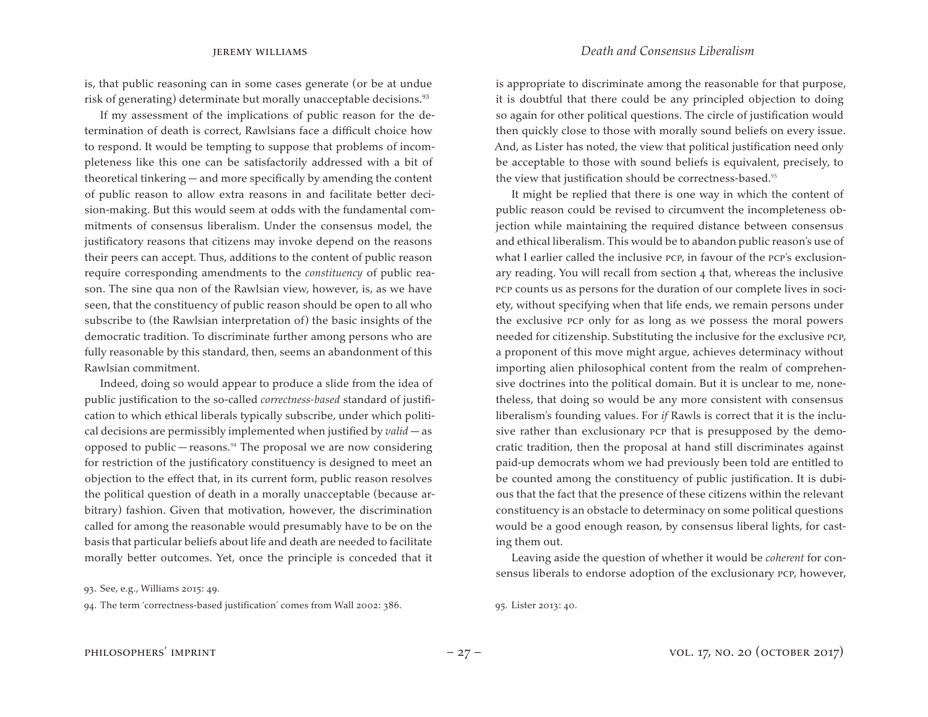is, that public reasoning can in some cases generate (or be at undue risk of generating) determinate but morally unacceptable decisions.<sup>93</sup>

If my assessment of the implications of public reason for the determination of death is correct, Rawlsians face a difficult choice how to respond. It would be tempting to suppose that problems of incompleteness like this one can be satisfactorily addressed with a bit of theoretical tinkering — and more specifically by amending the content of public reason to allow extra reasons in and facilitate better decision-making. But this would seem at odds with the fundamental commitments of consensus liberalism. Under the consensus model, the justificatory reasons that citizens may invoke depend on the reasons their peers can accept. Thus, additions to the content of public reason require corresponding amendments to the *constituency* of public reason. The sine qua non of the Rawlsian view, however, is, as we have seen, that the constituency of public reason should be open to all who subscribe to (the Rawlsian interpretation of) the basic insights of the democratic tradition. To discriminate further among persons who are fully reasonable by this standard, then, seems an abandonment of this Rawlsian commitment.

Indeed, doing so would appear to produce a slide from the idea of public justification to the so-called *correctness-based* standard of justification to which ethical liberals typically subscribe, under which political decisions are permissibly implemented when justified by *valid* — as opposed to public — reasons.<sup>94</sup> The proposal we are now considering for restriction of the justificatory constituency is designed to meet an objection to the effect that, in its current form, public reason resolves the political question of death in a morally unacceptable (because arbitrary) fashion. Given that motivation, however, the discrimination called for among the reasonable would presumably have to be on the basis that particular beliefs about life and death are needed to facilitate morally better outcomes. Yet, once the principle is conceded that it

94. The term 'correctness-based justification' comes from Wall 2002: 386.

is appropriate to discriminate among the reasonable for that purpose, it is doubtful that there could be any principled objection to doing so again for other political questions. The circle of justification would then quickly close to those with morally sound beliefs on every issue. And, as Lister has noted, the view that political justification need only be acceptable to those with sound beliefs is equivalent, precisely, to the view that justification should be correctness-based.<sup>95</sup>

It might be replied that there is one way in which the content of public reason could be revised to circumvent the incompleteness objection while maintaining the required distance between consensus and ethical liberalism. This would be to abandon public reason's use of what I earlier called the inclusive pcp, in favour of the pcp's exclusionary reading. You will recall from section 4 that, whereas the inclusive pcp counts us as persons for the duration of our complete lives in society, without specifying when that life ends, we remain persons under the exclusive pcp only for as long as we possess the moral powers needed for citizenship. Substituting the inclusive for the exclusive pcp, a proponent of this move might argue, achieves determinacy without importing alien philosophical content from the realm of comprehensive doctrines into the political domain. But it is unclear to me, nonetheless, that doing so would be any more consistent with consensus liberalism's founding values. For *if* Rawls is correct that it is the inclusive rather than exclusionary pcp that is presupposed by the democratic tradition, then the proposal at hand still discriminates against paid-up democrats whom we had previously been told are entitled to be counted among the constituency of public justification. It is dubious that the fact that the presence of these citizens within the relevant constituency is an obstacle to determinacy on some political questions would be a good enough reason, by consensus liberal lights, for casting them out.

Leaving aside the question of whether it would be *coherent* for consensus liberals to endorse adoption of the exclusionary pcp, however,

95. Lister 2013: 40.

<sup>93.</sup> See, e.g., Williams 2015: 49.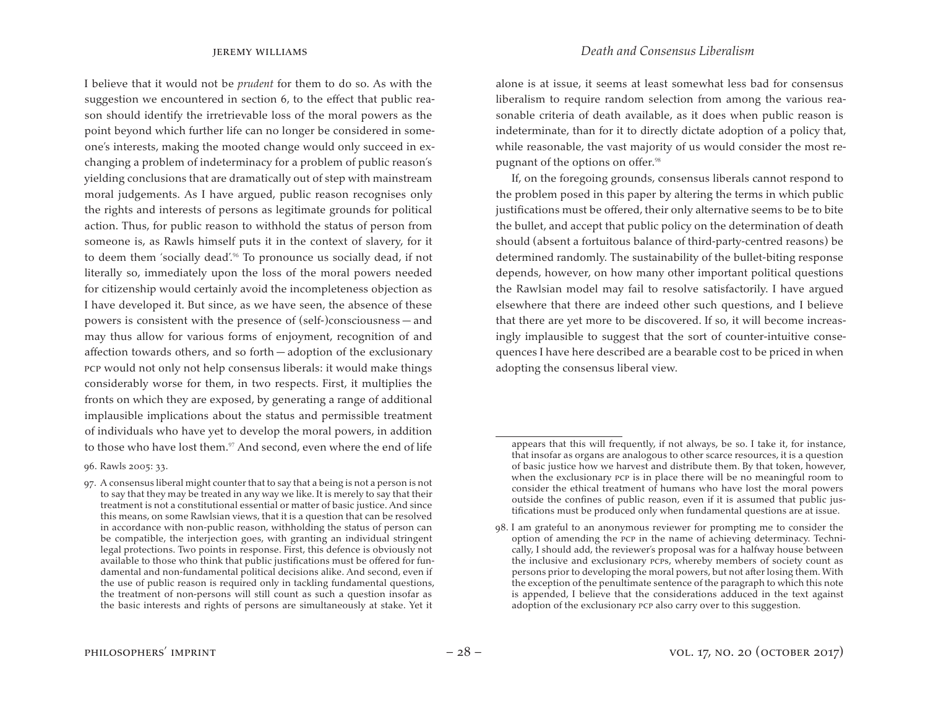I believe that it would not be *prudent* for them to do so. As with the suggestion we encountered in section 6, to the effect that public reason should identify the irretrievable loss of the moral powers as the point beyond which further life can no longer be considered in someone's interests, making the mooted change would only succeed in exchanging a problem of indeterminacy for a problem of public reason's yielding conclusions that are dramatically out of step with mainstream moral judgements. As I have argued, public reason recognises only the rights and interests of persons as legitimate grounds for political action. Thus, for public reason to withhold the status of person from someone is, as Rawls himself puts it in the context of slavery, for it to deem them 'socially dead'.<sup>96</sup> To pronounce us socially dead, if not literally so, immediately upon the loss of the moral powers needed for citizenship would certainly avoid the incompleteness objection as I have developed it. But since, as we have seen, the absence of these powers is consistent with the presence of (self-)consciousness — and may thus allow for various forms of enjoyment, recognition of and affection towards others, and so forth — adoption of the exclusionary pcp would not only not help consensus liberals: it would make things considerably worse for them, in two respects. First, it multiplies the fronts on which they are exposed, by generating a range of additional implausible implications about the status and permissible treatment of individuals who have yet to develop the moral powers, in addition to those who have lost them.<sup>97</sup> And second, even where the end of life

alone is at issue, it seems at least somewhat less bad for consensus liberalism to require random selection from among the various reasonable criteria of death available, as it does when public reason is indeterminate, than for it to directly dictate adoption of a policy that, while reasonable, the vast majority of us would consider the most repugnant of the options on offer.<sup>98</sup>

If, on the foregoing grounds, consensus liberals cannot respond to the problem posed in this paper by altering the terms in which public justifications must be offered, their only alternative seems to be to bite the bullet, and accept that public policy on the determination of death should (absent a fortuitous balance of third-party-centred reasons) be determined randomly. The sustainability of the bullet-biting response depends, however, on how many other important political questions the Rawlsian model may fail to resolve satisfactorily. I have argued elsewhere that there are indeed other such questions, and I believe that there are yet more to be discovered. If so, it will become increasingly implausible to suggest that the sort of counter-intuitive consequences I have here described are a bearable cost to be priced in when adopting the consensus liberal view.

<sup>96.</sup> Rawls 2005: 33.

<sup>97.</sup> A consensus liberal might counter that to say that a being is not a person is not to say that they may be treated in any way we like. It is merely to say that their treatment is not a constitutional essential or matter of basic justice. And since this means, on some Rawlsian views, that it is a question that can be resolved in accordance with non-public reason, withholding the status of person can be compatible, the interjection goes, with granting an individual stringent legal protections. Two points in response. First, this defence is obviously not available to those who think that public justifications must be offered for fundamental and non-fundamental political decisions alike. And second, even if the use of public reason is required only in tackling fundamental questions, the treatment of non-persons will still count as such a question insofar as the basic interests and rights of persons are simultaneously at stake. Yet it

appears that this will frequently, if not always, be so. I take it, for instance, that insofar as organs are analogous to other scarce resources, it is a question of basic justice how we harvest and distribute them. By that token, however, when the exclusionary pcp is in place there will be no meaningful room to consider the ethical treatment of humans who have lost the moral powers outside the confines of public reason, even if it is assumed that public justifications must be produced only when fundamental questions are at issue.

<sup>98.</sup> I am grateful to an anonymous reviewer for prompting me to consider the option of amending the pcp in the name of achieving determinacy. Technically, I should add, the reviewer's proposal was for a halfway house between the inclusive and exclusionary pcps, whereby members of society count as persons prior to developing the moral powers, but not after losing them. With the exception of the penultimate sentence of the paragraph to which this note is appended, I believe that the considerations adduced in the text against adoption of the exclusionary pcp also carry over to this suggestion.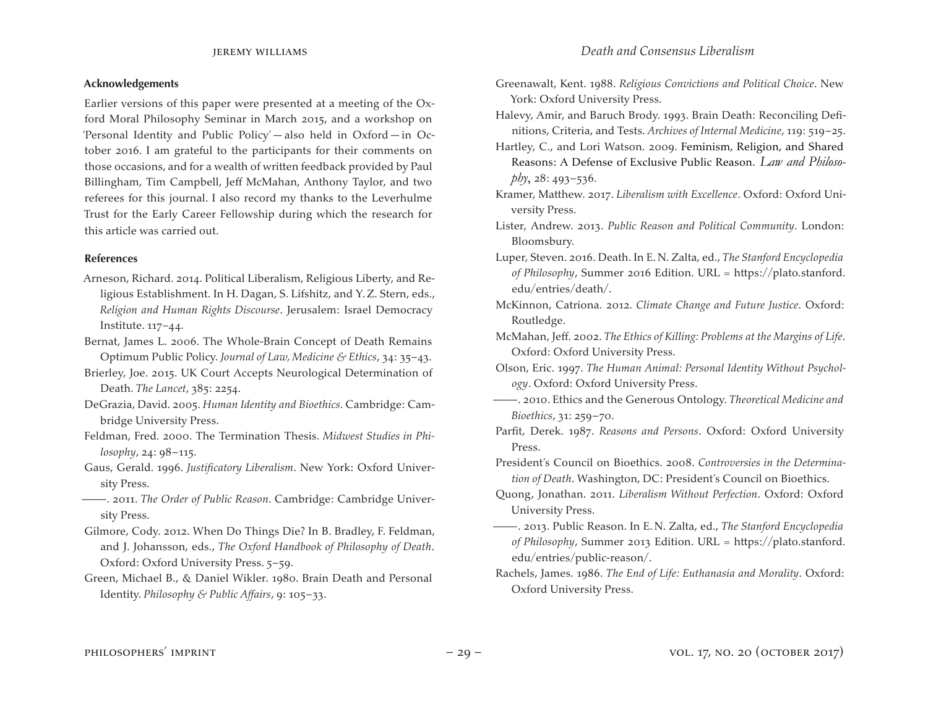### **Acknowledgements**

Earlier versions of this paper were presented at a meeting of the Oxford Moral Philosophy Seminar in March 2015, and a workshop on 'Personal Identity and Public Policy' — also held in Oxford — in October 2016. I am grateful to the participants for their comments on those occasions, and for a wealth of written feedback provided by Paul Billingham, Tim Campbell, Jeff McMahan, Anthony Taylor, and two referees for this journal. I also record my thanks to the Leverhulme Trust for the Early Career Fellowship during which the research for this article was carried out.

### **References**

- Arneson, Richard. 2014. Political Liberalism, Religious Liberty, and Religious Establishment. In H. Dagan, S. Lifshitz, and Y.Z. Stern, eds., *Religion and Human Rights Discourse*. Jerusalem: Israel Democracy Institute. 117–44.
- Bernat, James L. 2006. The Whole-Brain Concept of Death Remains Optimum Public Policy. *Journal of Law, Medicine & Ethics*, 34: 35–43.
- Brierley, Joe. 2015. UK Court Accepts Neurological Determination of Death. *The Lancet*, 385: 2254.
- DeGrazia, David. 2005. *Human Identity and Bioethics*. Cambridge: Cambridge University Press.
- Feldman, Fred. 2000. The Termination Thesis. *Midwest Studies in Philosophy*, 24: 98–115.
- Gaus, Gerald. 1996. *Justificatory Liberalism*. New York: Oxford University Press.
- ———. 2011. *The Order of Public Reason*. Cambridge: Cambridge University Press.
- Gilmore, Cody. 2012. When Do Things Die? In B. Bradley, F. Feldman, and J. Johansson, eds., *The Oxford Handbook of Philosophy of Death*. Oxford: Oxford University Press. 5–59.
- Green, Michael B., & Daniel Wikler. 1980. Brain Death and Personal Identity. *Philosophy & Public Affairs*, 9: 105–33.
- Greenawalt, Kent. 1988. *Religious Convictions and Political Choice*. New York: Oxford University Press.
- Halevy, Amir, and Baruch Brody. 1993. Brain Death: Reconciling Definitions, Criteria, and Tests. *Archives of Internal Medicine*, 119: 519–25.
- Hartley, C., and Lori Watson. 2009. Feminism, Religion, and Shared Reasons: A Defense of Exclusive Public Reason. *Law and Philosophy*, 28: 493–536.
- Kramer, Matthew. 2017. *Liberalism with Excellence*. Oxford: Oxford University Press.
- Lister, Andrew. 2013. *Public Reason and Political Community*. London: Bloomsbury.
- Luper, Steven. 2016. Death. In E.N. Zalta, ed., *The Stanford Encyclopedia of Philosophy*, Summer 2016 Edition. URL = https://plato.stanford. edu/entries/death/.
- McKinnon, Catriona. 2012. *Climate Change and Future Justice*. Oxford: Routledge.
- McMahan, Jeff. 2002. *The Ethics of Killing: Problems at the Margins of Life*. Oxford: Oxford University Press.
- Olson, Eric. 1997. *The Human Animal: Personal Identity Without Psychology*. Oxford: Oxford University Press.
- ———. 2010. Ethics and the Generous Ontology. *Theoretical Medicine and Bioethics*, 31: 259–70.
- Parfit, Derek. 1987. *Reasons and Persons*. Oxford: Oxford University Press.
- President's Council on Bioethics. 2008. *Controversies in the Determination of Death*. Washington, DC: President's Council on Bioethics.
- Quong, Jonathan. 2011. *Liberalism Without Perfection*. Oxford: Oxford University Press.
- ———. 2013. Public Reason. In E.N. Zalta, ed., *The Stanford Encyclopedia of Philosophy*, Summer 2013 Edition. URL = https://plato.stanford. edu/entries/public-reason/.
- Rachels, James. 1986. *The End of Life: Euthanasia and Morality*. Oxford: Oxford University Press.